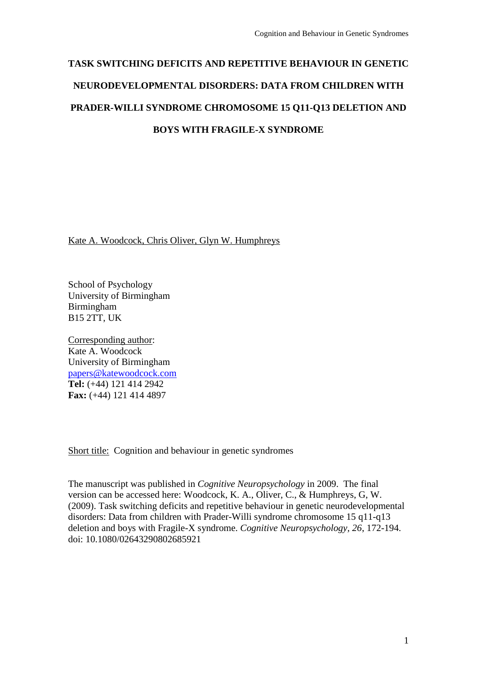# **TASK SWITCHING DEFICITS AND REPETITIVE BEHAVIOUR IN GENETIC NEURODEVELOPMENTAL DISORDERS: DATA FROM CHILDREN WITH PRADER-WILLI SYNDROME CHROMOSOME 15 Q11-Q13 DELETION AND BOYS WITH FRAGILE-X SYNDROME**

Kate A. Woodcock, Chris Oliver, Glyn W. Humphreys

School of Psychology University of Birmingham Birmingham B15 2TT, UK

Corresponding author: Kate A. Woodcock University of Birmingham [papers@katewoodcock.com](mailto:papers@katewoodcock.com) **Tel:** (+44) 121 414 2942 **Fax:** (+44) 121 414 4897

Short title: Cognition and behaviour in genetic syndromes

The manuscript was published in *Cognitive Neuropsychology* in 2009. The final version can be accessed here: Woodcock, K. A., Oliver, C., & Humphreys, G, W. (2009). Task switching deficits and repetitive behaviour in genetic neurodevelopmental disorders: Data from children with Prader-Willi syndrome chromosome 15 q11-q13 deletion and boys with Fragile-X syndrome. *Cognitive Neuropsychology, 26*, 172-194. doi: 10.1080/02643290802685921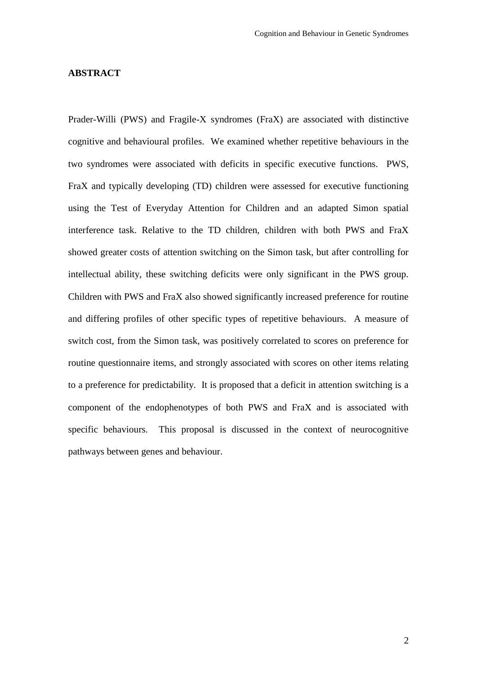#### **ABSTRACT**

Prader-Willi (PWS) and Fragile-X syndromes (FraX) are associated with distinctive cognitive and behavioural profiles. We examined whether repetitive behaviours in the two syndromes were associated with deficits in specific executive functions. PWS, FraX and typically developing (TD) children were assessed for executive functioning using the Test of Everyday Attention for Children and an adapted Simon spatial interference task. Relative to the TD children, children with both PWS and FraX showed greater costs of attention switching on the Simon task, but after controlling for intellectual ability, these switching deficits were only significant in the PWS group. Children with PWS and FraX also showed significantly increased preference for routine and differing profiles of other specific types of repetitive behaviours. A measure of switch cost, from the Simon task, was positively correlated to scores on preference for routine questionnaire items, and strongly associated with scores on other items relating to a preference for predictability. It is proposed that a deficit in attention switching is a component of the endophenotypes of both PWS and FraX and is associated with specific behaviours. This proposal is discussed in the context of neurocognitive pathways between genes and behaviour.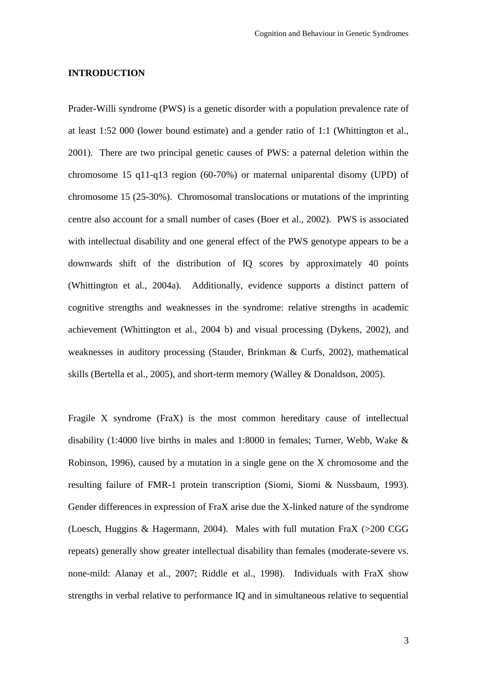#### **INTRODUCTION**

Prader-Willi syndrome (PWS) is a genetic disorder with a population prevalence rate of at least 1:52 000 (lower bound estimate) and a gender ratio of 1:1 (Whittington et al., 2001). There are two principal genetic causes of PWS: a paternal deletion within the chromosome 15 q11-q13 region (60-70%) or maternal uniparental disomy (UPD) of chromosome 15 (25-30%). Chromosomal translocations or mutations of the imprinting centre also account for a small number of cases (Boer et al., 2002). PWS is associated with intellectual disability and one general effect of the PWS genotype appears to be a downwards shift of the distribution of IQ scores by approximately 40 points (Whittington et al., 2004a). Additionally, evidence supports a distinct pattern of cognitive strengths and weaknesses in the syndrome: relative strengths in academic achievement (Whittington et al., 2004 b) and visual processing (Dykens, 2002), and weaknesses in auditory processing (Stauder, Brinkman & Curfs, 2002), mathematical skills (Bertella et al., 2005), and short-term memory (Walley & Donaldson, 2005).

Fragile X syndrome (FraX) is the most common hereditary cause of intellectual disability (1:4000 live births in males and 1:8000 in females; Turner, Webb, Wake & Robinson, 1996), caused by a mutation in a single gene on the X chromosome and the resulting failure of FMR-1 protein transcription (Siomi, Siomi & Nussbaum, 1993). Gender differences in expression of FraX arise due the X-linked nature of the syndrome (Loesch, Huggins & Hagermann, 2004). Males with full mutation FraX (>200 CGG repeats) generally show greater intellectual disability than females (moderate-severe vs. none-mild: Alanay et al., 2007; Riddle et al., 1998). Individuals with FraX show strengths in verbal relative to performance IQ and in simultaneous relative to sequential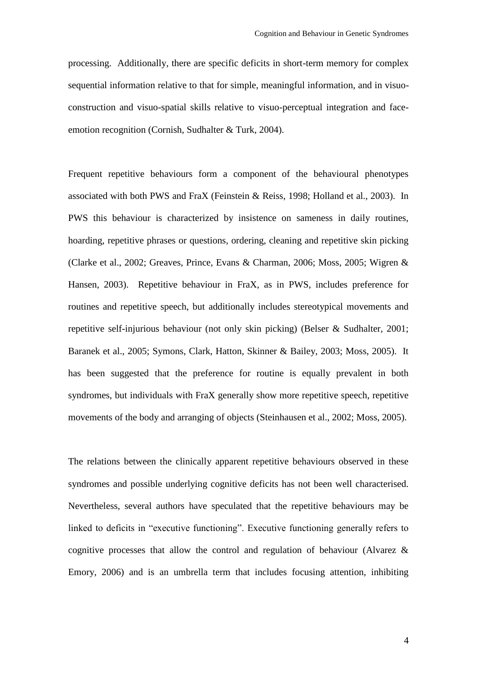processing. Additionally, there are specific deficits in short-term memory for complex sequential information relative to that for simple, meaningful information, and in visuoconstruction and visuo-spatial skills relative to visuo-perceptual integration and faceemotion recognition (Cornish, Sudhalter & Turk, 2004).

Frequent repetitive behaviours form a component of the behavioural phenotypes associated with both PWS and FraX (Feinstein & Reiss, 1998; Holland et al., 2003). In PWS this behaviour is characterized by insistence on sameness in daily routines, hoarding, repetitive phrases or questions, ordering, cleaning and repetitive skin picking (Clarke et al., 2002; Greaves, Prince, Evans & Charman, 2006; Moss, 2005; Wigren & Hansen, 2003). Repetitive behaviour in FraX, as in PWS, includes preference for routines and repetitive speech, but additionally includes stereotypical movements and repetitive self-injurious behaviour (not only skin picking) (Belser & Sudhalter, 2001; Baranek et al., 2005; Symons, Clark, Hatton, Skinner & Bailey, 2003; Moss, 2005). It has been suggested that the preference for routine is equally prevalent in both syndromes, but individuals with FraX generally show more repetitive speech, repetitive movements of the body and arranging of objects (Steinhausen et al., 2002; Moss, 2005).

The relations between the clinically apparent repetitive behaviours observed in these syndromes and possible underlying cognitive deficits has not been well characterised. Nevertheless, several authors have speculated that the repetitive behaviours may be linked to deficits in "executive functioning". Executive functioning generally refers to cognitive processes that allow the control and regulation of behaviour (Alvarez & Emory, 2006) and is an umbrella term that includes focusing attention, inhibiting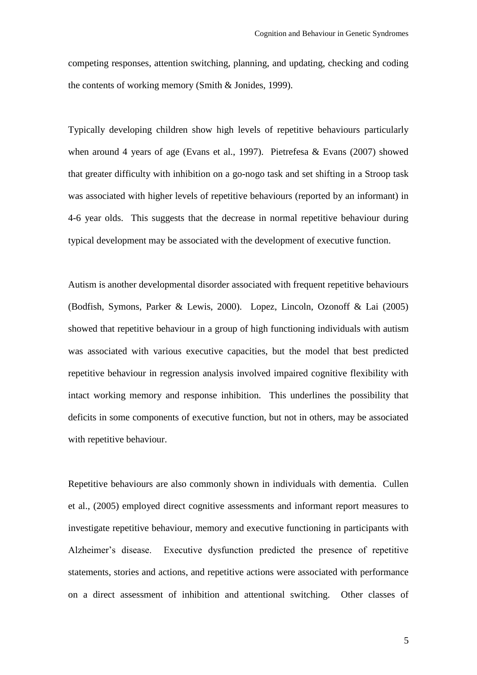competing responses, attention switching, planning, and updating, checking and coding the contents of working memory (Smith & Jonides, 1999).

Typically developing children show high levels of repetitive behaviours particularly when around 4 years of age (Evans et al., 1997). Pietrefesa & Evans (2007) showed that greater difficulty with inhibition on a go-nogo task and set shifting in a Stroop task was associated with higher levels of repetitive behaviours (reported by an informant) in 4-6 year olds. This suggests that the decrease in normal repetitive behaviour during typical development may be associated with the development of executive function.

Autism is another developmental disorder associated with frequent repetitive behaviours (Bodfish, Symons, Parker & Lewis, 2000). Lopez, Lincoln, Ozonoff & Lai (2005) showed that repetitive behaviour in a group of high functioning individuals with autism was associated with various executive capacities, but the model that best predicted repetitive behaviour in regression analysis involved impaired cognitive flexibility with intact working memory and response inhibition. This underlines the possibility that deficits in some components of executive function, but not in others, may be associated with repetitive behaviour.

Repetitive behaviours are also commonly shown in individuals with dementia. Cullen et al., (2005) employed direct cognitive assessments and informant report measures to investigate repetitive behaviour, memory and executive functioning in participants with Alzheimer's disease. Executive dysfunction predicted the presence of repetitive statements, stories and actions, and repetitive actions were associated with performance on a direct assessment of inhibition and attentional switching. Other classes of

5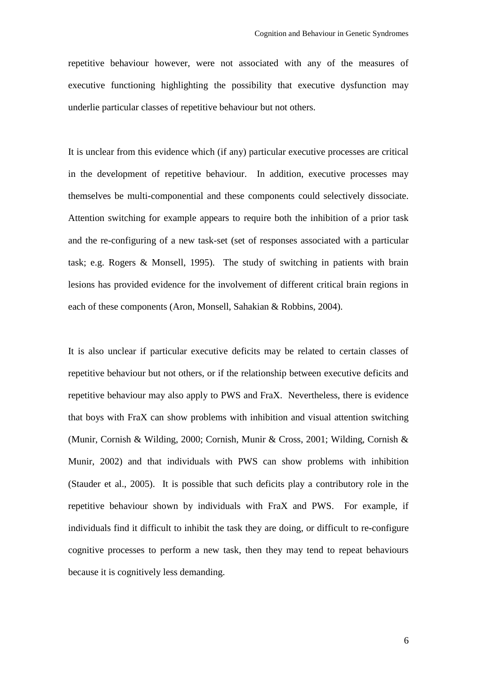repetitive behaviour however, were not associated with any of the measures of executive functioning highlighting the possibility that executive dysfunction may underlie particular classes of repetitive behaviour but not others.

It is unclear from this evidence which (if any) particular executive processes are critical in the development of repetitive behaviour. In addition, executive processes may themselves be multi-componential and these components could selectively dissociate. Attention switching for example appears to require both the inhibition of a prior task and the re-configuring of a new task-set (set of responses associated with a particular task; e.g. Rogers & Monsell, 1995). The study of switching in patients with brain lesions has provided evidence for the involvement of different critical brain regions in each of these components (Aron, Monsell, Sahakian & Robbins, 2004).

It is also unclear if particular executive deficits may be related to certain classes of repetitive behaviour but not others, or if the relationship between executive deficits and repetitive behaviour may also apply to PWS and FraX. Nevertheless, there is evidence that boys with FraX can show problems with inhibition and visual attention switching (Munir, Cornish & Wilding, 2000; Cornish, Munir & Cross, 2001; Wilding, Cornish & Munir, 2002) and that individuals with PWS can show problems with inhibition (Stauder et al., 2005). It is possible that such deficits play a contributory role in the repetitive behaviour shown by individuals with FraX and PWS. For example, if individuals find it difficult to inhibit the task they are doing, or difficult to re-configure cognitive processes to perform a new task, then they may tend to repeat behaviours because it is cognitively less demanding.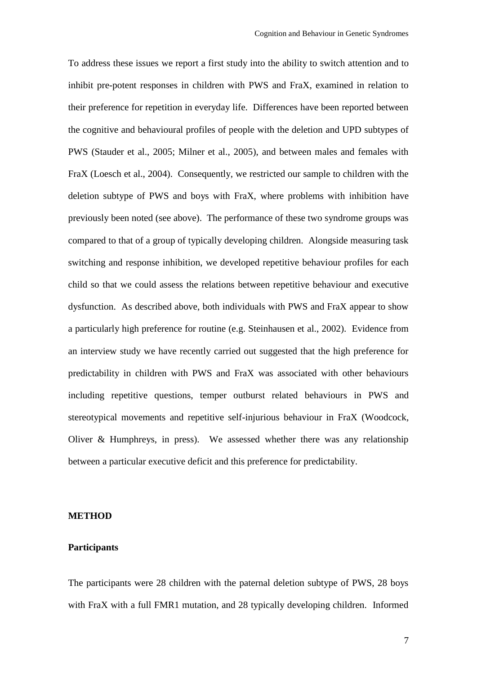To address these issues we report a first study into the ability to switch attention and to inhibit pre-potent responses in children with PWS and FraX, examined in relation to their preference for repetition in everyday life. Differences have been reported between the cognitive and behavioural profiles of people with the deletion and UPD subtypes of PWS (Stauder et al., 2005; Milner et al., 2005), and between males and females with FraX (Loesch et al., 2004). Consequently, we restricted our sample to children with the deletion subtype of PWS and boys with FraX, where problems with inhibition have previously been noted (see above). The performance of these two syndrome groups was compared to that of a group of typically developing children. Alongside measuring task switching and response inhibition, we developed repetitive behaviour profiles for each child so that we could assess the relations between repetitive behaviour and executive dysfunction. As described above, both individuals with PWS and FraX appear to show a particularly high preference for routine (e.g. Steinhausen et al., 2002). Evidence from an interview study we have recently carried out suggested that the high preference for predictability in children with PWS and FraX was associated with other behaviours including repetitive questions, temper outburst related behaviours in PWS and stereotypical movements and repetitive self-injurious behaviour in FraX (Woodcock, Oliver & Humphreys, in press). We assessed whether there was any relationship between a particular executive deficit and this preference for predictability.

#### **METHOD**

#### **Participants**

The participants were 28 children with the paternal deletion subtype of PWS, 28 boys with FraX with a full FMR1 mutation, and 28 typically developing children. Informed

7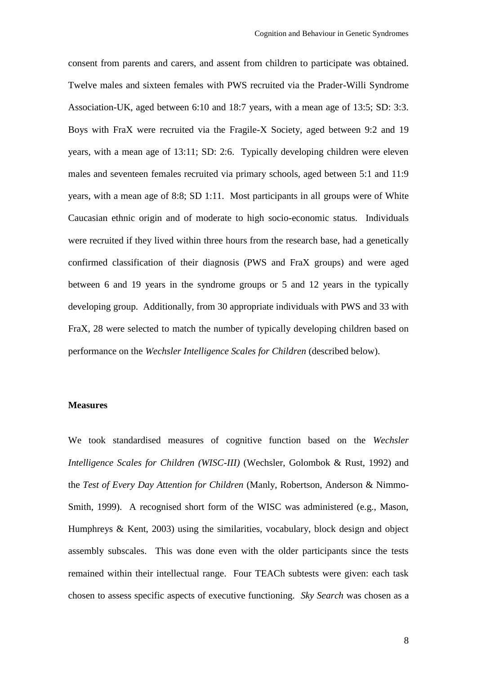consent from parents and carers, and assent from children to participate was obtained. Twelve males and sixteen females with PWS recruited via the Prader-Willi Syndrome Association-UK, aged between 6:10 and 18:7 years, with a mean age of 13:5; SD: 3:3. Boys with FraX were recruited via the Fragile-X Society, aged between 9:2 and 19 years, with a mean age of 13:11; SD: 2:6. Typically developing children were eleven males and seventeen females recruited via primary schools, aged between 5:1 and 11:9 years, with a mean age of 8:8; SD 1:11. Most participants in all groups were of White Caucasian ethnic origin and of moderate to high socio-economic status. Individuals were recruited if they lived within three hours from the research base, had a genetically confirmed classification of their diagnosis (PWS and FraX groups) and were aged between 6 and 19 years in the syndrome groups or 5 and 12 years in the typically developing group. Additionally, from 30 appropriate individuals with PWS and 33 with FraX, 28 were selected to match the number of typically developing children based on performance on the *Wechsler Intelligence Scales for Children* (described below).

#### **Measures**

We took standardised measures of cognitive function based on the *Wechsler Intelligence Scales for Children (WISC-III)* (Wechsler, Golombok & Rust, 1992) and the *Test of Every Day Attention for Children* (Manly, Robertson, Anderson & Nimmo-Smith, 1999). A recognised short form of the WISC was administered (e.g., Mason, Humphreys & Kent, 2003) using the similarities, vocabulary, block design and object assembly subscales. This was done even with the older participants since the tests remained within their intellectual range. Four TEACh subtests were given: each task chosen to assess specific aspects of executive functioning. *Sky Search* was chosen as a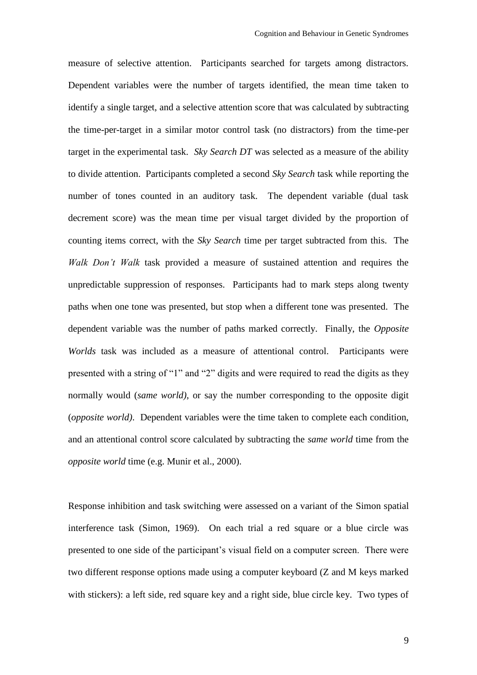measure of selective attention. Participants searched for targets among distractors. Dependent variables were the number of targets identified, the mean time taken to identify a single target, and a selective attention score that was calculated by subtracting the time-per-target in a similar motor control task (no distractors) from the time-per target in the experimental task. *Sky Search DT* was selected as a measure of the ability to divide attention. Participants completed a second *Sky Search* task while reporting the number of tones counted in an auditory task. The dependent variable (dual task decrement score) was the mean time per visual target divided by the proportion of counting items correct, with the *Sky Search* time per target subtracted from this. The *Walk Don't Walk* task provided a measure of sustained attention and requires the unpredictable suppression of responses. Participants had to mark steps along twenty paths when one tone was presented, but stop when a different tone was presented. The dependent variable was the number of paths marked correctly. Finally, the *Opposite Worlds* task was included as a measure of attentional control. Participants were presented with a string of "1" and "2" digits and were required to read the digits as they normally would (*same world)*, or say the number corresponding to the opposite digit (*opposite world)*. Dependent variables were the time taken to complete each condition, and an attentional control score calculated by subtracting the *same world* time from the *opposite world* time (e.g. Munir et al., 2000).

Response inhibition and task switching were assessed on a variant of the Simon spatial interference task (Simon, 1969). On each trial a red square or a blue circle was presented to one side of the participant's visual field on a computer screen. There were two different response options made using a computer keyboard (Z and M keys marked with stickers): a left side, red square key and a right side, blue circle key. Two types of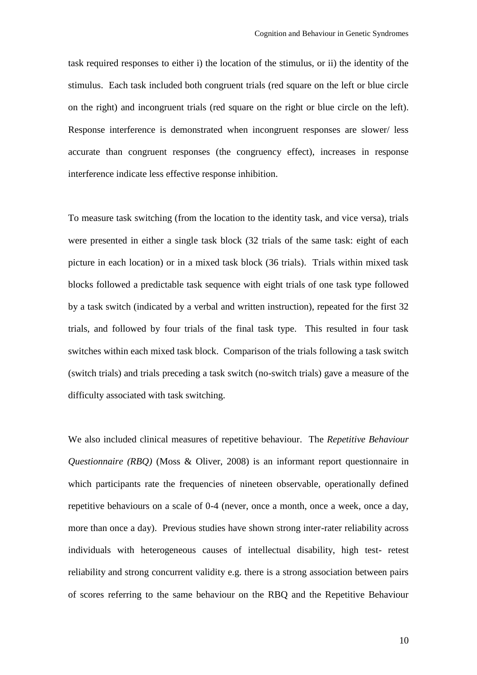task required responses to either i) the location of the stimulus, or ii) the identity of the stimulus. Each task included both congruent trials (red square on the left or blue circle on the right) and incongruent trials (red square on the right or blue circle on the left). Response interference is demonstrated when incongruent responses are slower/ less accurate than congruent responses (the congruency effect), increases in response interference indicate less effective response inhibition.

To measure task switching (from the location to the identity task, and vice versa), trials were presented in either a single task block (32 trials of the same task: eight of each picture in each location) or in a mixed task block (36 trials). Trials within mixed task blocks followed a predictable task sequence with eight trials of one task type followed by a task switch (indicated by a verbal and written instruction), repeated for the first 32 trials, and followed by four trials of the final task type. This resulted in four task switches within each mixed task block. Comparison of the trials following a task switch (switch trials) and trials preceding a task switch (no-switch trials) gave a measure of the difficulty associated with task switching.

We also included clinical measures of repetitive behaviour. The *Repetitive Behaviour Questionnaire (RBQ)* (Moss & Oliver, 2008) is an informant report questionnaire in which participants rate the frequencies of nineteen observable, operationally defined repetitive behaviours on a scale of 0-4 (never, once a month, once a week, once a day, more than once a day). Previous studies have shown strong inter-rater reliability across individuals with heterogeneous causes of intellectual disability, high test- retest reliability and strong concurrent validity e.g. there is a strong association between pairs of scores referring to the same behaviour on the RBQ and the Repetitive Behaviour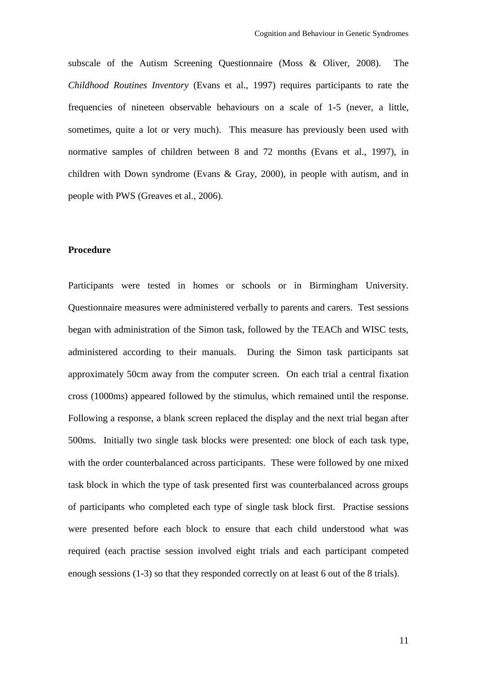subscale of the Autism Screening Questionnaire (Moss & Oliver, 2008). The *Childhood Routines Inventory* (Evans et al., 1997) requires participants to rate the frequencies of nineteen observable behaviours on a scale of 1-5 (never, a little, sometimes, quite a lot or very much). This measure has previously been used with normative samples of children between 8 and 72 months (Evans et al., 1997), in children with Down syndrome (Evans & Gray, 2000), in people with autism, and in people with PWS (Greaves et al., 2006).

#### **Procedure**

Participants were tested in homes or schools or in Birmingham University. Questionnaire measures were administered verbally to parents and carers. Test sessions began with administration of the Simon task, followed by the TEACh and WISC tests, administered according to their manuals. During the Simon task participants sat approximately 50cm away from the computer screen. On each trial a central fixation cross (1000ms) appeared followed by the stimulus, which remained until the response. Following a response, a blank screen replaced the display and the next trial began after 500ms. Initially two single task blocks were presented: one block of each task type, with the order counterbalanced across participants. These were followed by one mixed task block in which the type of task presented first was counterbalanced across groups of participants who completed each type of single task block first. Practise sessions were presented before each block to ensure that each child understood what was required (each practise session involved eight trials and each participant competed enough sessions (1-3) so that they responded correctly on at least 6 out of the 8 trials).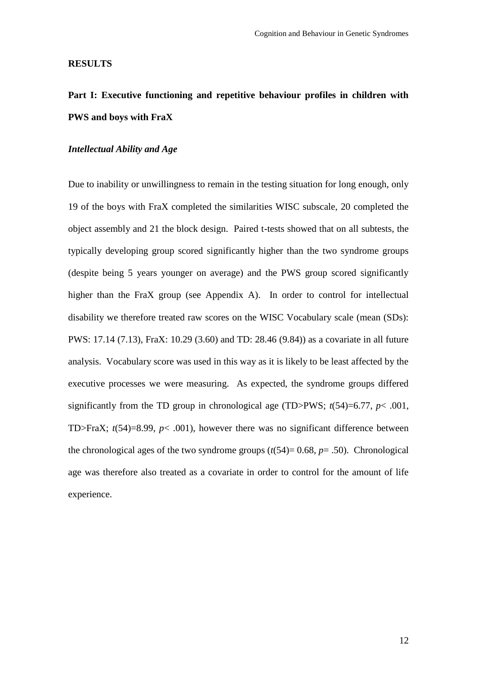#### **RESULTS**

# **Part I: Executive functioning and repetitive behaviour profiles in children with PWS and boys with FraX**

# *Intellectual Ability and Age*

Due to inability or unwillingness to remain in the testing situation for long enough, only 19 of the boys with FraX completed the similarities WISC subscale, 20 completed the object assembly and 21 the block design. Paired t-tests showed that on all subtests, the typically developing group scored significantly higher than the two syndrome groups (despite being 5 years younger on average) and the PWS group scored significantly higher than the FraX group (see Appendix A). In order to control for intellectual disability we therefore treated raw scores on the WISC Vocabulary scale (mean (SDs): PWS: 17.14 (7.13), FraX: 10.29 (3.60) and TD: 28.46 (9.84)) as a covariate in all future analysis. Vocabulary score was used in this way as it is likely to be least affected by the executive processes we were measuring. As expected, the syndrome groups differed significantly from the TD group in chronological age (TD>PWS;  $t(54)=6.77$ ,  $p < .001$ , TD>FraX;  $t(54)=8.99$ ,  $p< .001$ ), however there was no significant difference between the chronological ages of the two syndrome groups  $(t(54)=0.68, p=.50)$ . Chronological age was therefore also treated as a covariate in order to control for the amount of life experience.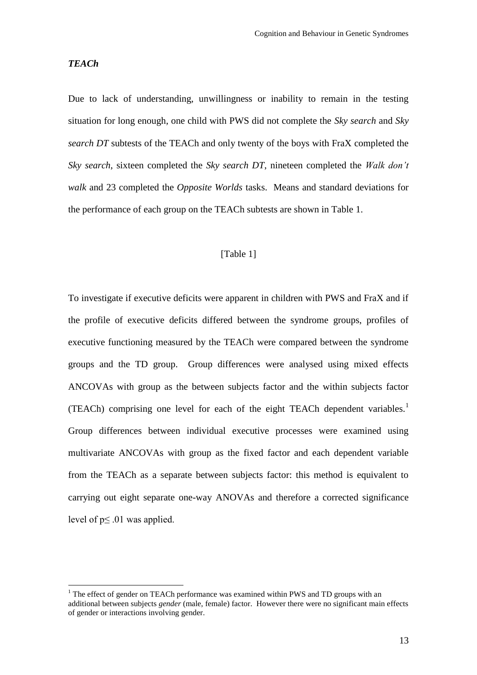#### *TEACh*

1

Due to lack of understanding, unwillingness or inability to remain in the testing situation for long enough, one child with PWS did not complete the *Sky search* and *Sky search DT* subtests of the TEACh and only twenty of the boys with FraX completed the *Sky search*, sixteen completed the *Sky search DT*, nineteen completed the *Walk don't walk* and 23 completed the *Opposite Worlds* tasks. Means and standard deviations for the performance of each group on the TEACh subtests are shown in Table 1.

#### [Table 1]

To investigate if executive deficits were apparent in children with PWS and FraX and if the profile of executive deficits differed between the syndrome groups, profiles of executive functioning measured by the TEACh were compared between the syndrome groups and the TD group. Group differences were analysed using mixed effects ANCOVAs with group as the between subjects factor and the within subjects factor (TEACh) comprising one level for each of the eight TEACh dependent variables.<sup>1</sup> Group differences between individual executive processes were examined using multivariate ANCOVAs with group as the fixed factor and each dependent variable from the TEACh as a separate between subjects factor: this method is equivalent to carrying out eight separate one-way ANOVAs and therefore a corrected significance level of  $p \leq 0.01$  was applied.

 $1$ <sup>1</sup> The effect of gender on TEACh performance was examined within PWS and TD groups with an additional between subjects *gender* (male, female) factor. However there were no significant main effects of gender or interactions involving gender.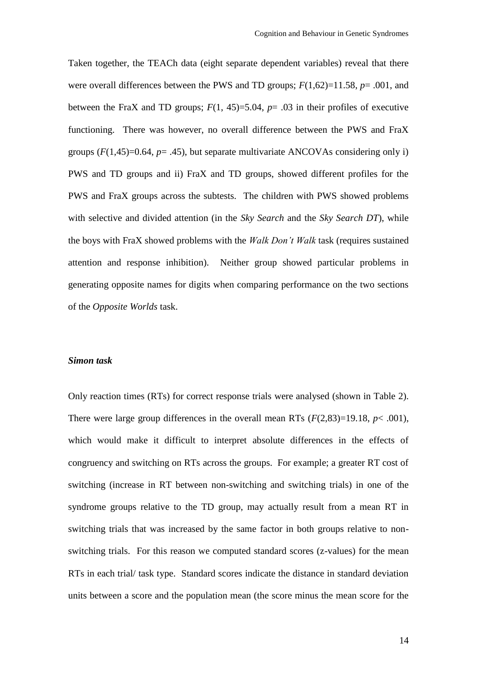Taken together, the TEACh data (eight separate dependent variables) reveal that there were overall differences between the PWS and TD groups; *F*(1,62)=11.58, *p*= .001, and between the FraX and TD groups;  $F(1, 45)=5.04$ ,  $p=.03$  in their profiles of executive functioning. There was however, no overall difference between the PWS and FraX groups  $(F(1,45)=0.64, p=.45)$ , but separate multivariate ANCOVAs considering only i) PWS and TD groups and ii) FraX and TD groups, showed different profiles for the PWS and FraX groups across the subtests. The children with PWS showed problems with selective and divided attention (in the *Sky Search* and the *Sky Search DT*), while the boys with FraX showed problems with the *Walk Don't Walk* task (requires sustained attention and response inhibition). Neither group showed particular problems in generating opposite names for digits when comparing performance on the two sections of the *Opposite Worlds* task.

#### *Simon task*

Only reaction times (RTs) for correct response trials were analysed (shown in Table 2). There were large group differences in the overall mean RTs  $(F(2.83)=19.18, p< .001)$ , which would make it difficult to interpret absolute differences in the effects of congruency and switching on RTs across the groups. For example; a greater RT cost of switching (increase in RT between non-switching and switching trials) in one of the syndrome groups relative to the TD group, may actually result from a mean RT in switching trials that was increased by the same factor in both groups relative to nonswitching trials. For this reason we computed standard scores (z-values) for the mean RTs in each trial/ task type. Standard scores indicate the distance in standard deviation units between a score and the population mean (the score minus the mean score for the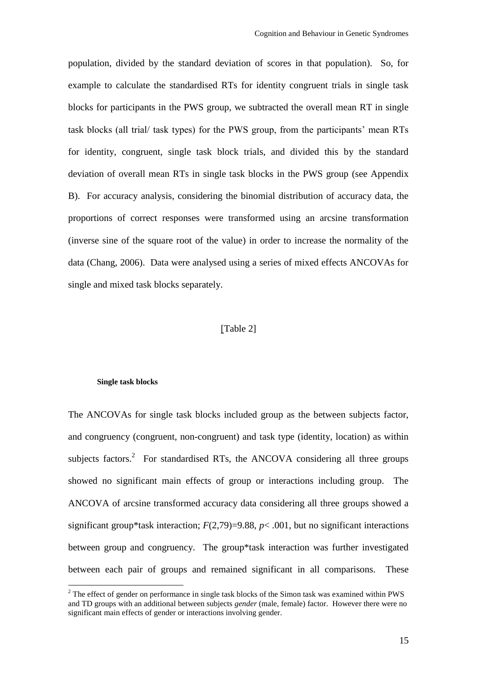population, divided by the standard deviation of scores in that population). So, for example to calculate the standardised RTs for identity congruent trials in single task blocks for participants in the PWS group, we subtracted the overall mean RT in single task blocks (all trial/ task types) for the PWS group, from the participants' mean RTs for identity, congruent, single task block trials, and divided this by the standard deviation of overall mean RTs in single task blocks in the PWS group (see Appendix B). For accuracy analysis, considering the binomial distribution of accuracy data, the proportions of correct responses were transformed using an arcsine transformation (inverse sine of the square root of the value) in order to increase the normality of the data (Chang, 2006). Data were analysed using a series of mixed effects ANCOVAs for single and mixed task blocks separately.

## [Table 2]

#### **Single task blocks**

1

The ANCOVAs for single task blocks included group as the between subjects factor, and congruency (congruent, non-congruent) and task type (identity, location) as within subjects factors.<sup>2</sup> For standardised RTs, the ANCOVA considering all three groups showed no significant main effects of group or interactions including group. The ANCOVA of arcsine transformed accuracy data considering all three groups showed a significant group\*task interaction;  $F(2,79)=9.88$ ,  $p<.001$ , but no significant interactions between group and congruency. The group\*task interaction was further investigated between each pair of groups and remained significant in all comparisons. These

<sup>&</sup>lt;sup>2</sup> The effect of gender on performance in single task blocks of the Simon task was examined within PWS and TD groups with an additional between subjects *gender* (male, female) factor. However there were no significant main effects of gender or interactions involving gender.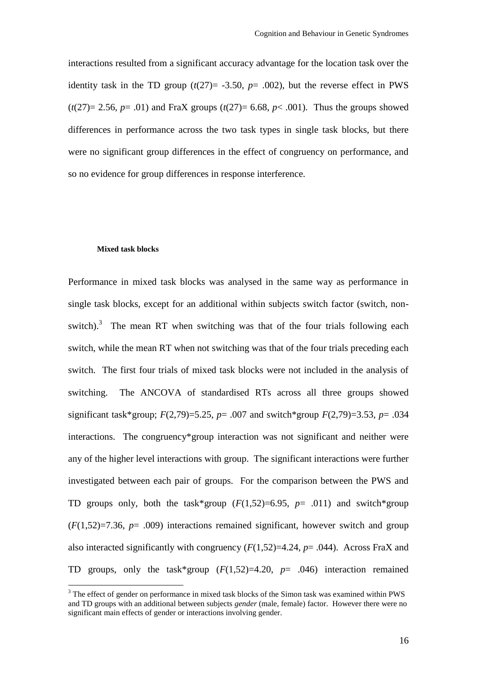interactions resulted from a significant accuracy advantage for the location task over the identity task in the TD group  $(t(27)) = -3.50$ ,  $p = .002$ ), but the reverse effect in PWS  $(t(27)= 2.56, p= .01)$  and FraX groups  $(t(27)= 6.68, p< .001)$ . Thus the groups showed differences in performance across the two task types in single task blocks, but there were no significant group differences in the effect of congruency on performance, and so no evidence for group differences in response interference.

#### **Mixed task blocks**

1

Performance in mixed task blocks was analysed in the same way as performance in single task blocks, except for an additional within subjects switch factor (switch, nonswitch).<sup>3</sup> The mean RT when switching was that of the four trials following each switch, while the mean RT when not switching was that of the four trials preceding each switch. The first four trials of mixed task blocks were not included in the analysis of switching. The ANCOVA of standardised RTs across all three groups showed significant task\*group; *F*(2,79)=5.25, *p*= .007 and switch\*group *F*(2,79)=3.53, *p*= .034 interactions. The congruency\*group interaction was not significant and neither were any of the higher level interactions with group. The significant interactions were further investigated between each pair of groups. For the comparison between the PWS and TD groups only, both the task\*group  $(F(1,52)=6.95, p= .011)$  and switch\*group  $(F(1,52)=7.36, p= .009)$  interactions remained significant, however switch and group also interacted significantly with congruency (*F*(1,52)=4.24, *p*= .044). Across FraX and TD groups, only the task\*group  $(F(1,52)=4.20, p= .046)$  interaction remained

<sup>&</sup>lt;sup>3</sup> The effect of gender on performance in mixed task blocks of the Simon task was examined within PWS and TD groups with an additional between subjects *gender* (male, female) factor. However there were no significant main effects of gender or interactions involving gender.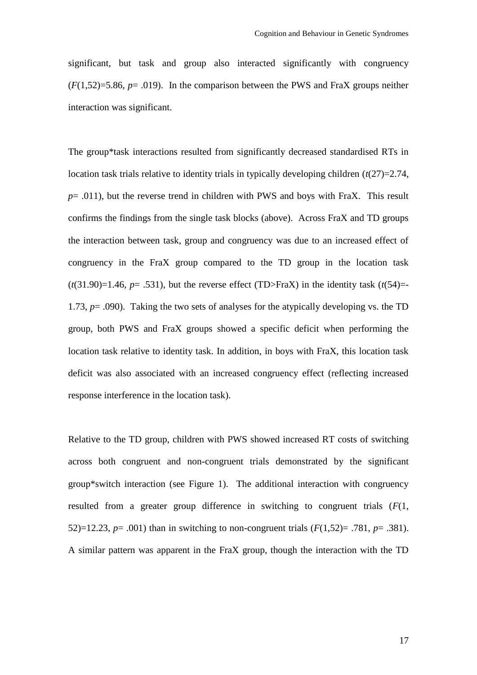significant, but task and group also interacted significantly with congruency  $(F(1.52)=5.86, p=.019)$ . In the comparison between the PWS and FraX groups neither interaction was significant.

The group\*task interactions resulted from significantly decreased standardised RTs in location task trials relative to identity trials in typically developing children (*t*(27)=2.74,  $p = .011$ ), but the reverse trend in children with PWS and boys with FraX. This result confirms the findings from the single task blocks (above). Across FraX and TD groups the interaction between task, group and congruency was due to an increased effect of congruency in the FraX group compared to the TD group in the location task  $(t(31.90)=1.46, p=.531)$ , but the reverse effect (TD>FraX) in the identity task  $(t(54)=$ 1.73, *p*= .090). Taking the two sets of analyses for the atypically developing vs. the TD group, both PWS and FraX groups showed a specific deficit when performing the location task relative to identity task. In addition, in boys with FraX, this location task deficit was also associated with an increased congruency effect (reflecting increased response interference in the location task).

Relative to the TD group, children with PWS showed increased RT costs of switching across both congruent and non-congruent trials demonstrated by the significant group\*switch interaction (see Figure 1). The additional interaction with congruency resulted from a greater group difference in switching to congruent trials (*F*(1, 52)=12.23, *p*= .001) than in switching to non-congruent trials (*F*(1,52)= .781, *p*= .381). A similar pattern was apparent in the FraX group, though the interaction with the TD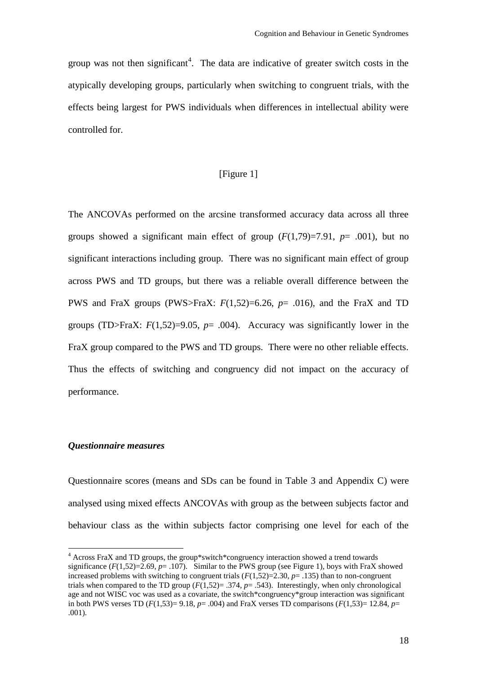group was not then significant<sup>4</sup>. The data are indicative of greater switch costs in the atypically developing groups, particularly when switching to congruent trials, with the effects being largest for PWS individuals when differences in intellectual ability were controlled for.

# [Figure 1]

The ANCOVAs performed on the arcsine transformed accuracy data across all three groups showed a significant main effect of group  $(F(1,79)=7.91, p=.001)$ , but no significant interactions including group. There was no significant main effect of group across PWS and TD groups, but there was a reliable overall difference between the PWS and FraX groups (PWS>FraX: *F*(1,52)=6.26, *p*= .016), and the FraX and TD groups (TD>FraX:  $F(1,52)=9.05$ ,  $p=0.004$ ). Accuracy was significantly lower in the FraX group compared to the PWS and TD groups. There were no other reliable effects. Thus the effects of switching and congruency did not impact on the accuracy of performance.

#### *Questionnaire measures*

<u>.</u>

Questionnaire scores (means and SDs can be found in Table 3 and Appendix C) were analysed using mixed effects ANCOVAs with group as the between subjects factor and behaviour class as the within subjects factor comprising one level for each of the

<sup>4</sup> Across FraX and TD groups, the group\*switch\*congruency interaction showed a trend towards significance  $(F(1,52)=2.69, p=.107)$ . Similar to the PWS group (see Figure 1), boys with FraX showed increased problems with switching to congruent trials (*F*(1,52)=2.30, *p*= .135) than to non-congruent trials when compared to the TD group  $(F(1.52) = .374, p = .543)$ . Interestingly, when only chronological age and not WISC voc was used as a covariate, the switch\*congruency\*group interaction was significant in both PWS verses TD ( $F(1,53)=9.18$ ,  $p=0.004$ ) and FraX verses TD comparisons ( $F(1,53)=12.84$ ,  $p=0.004$ ) .001).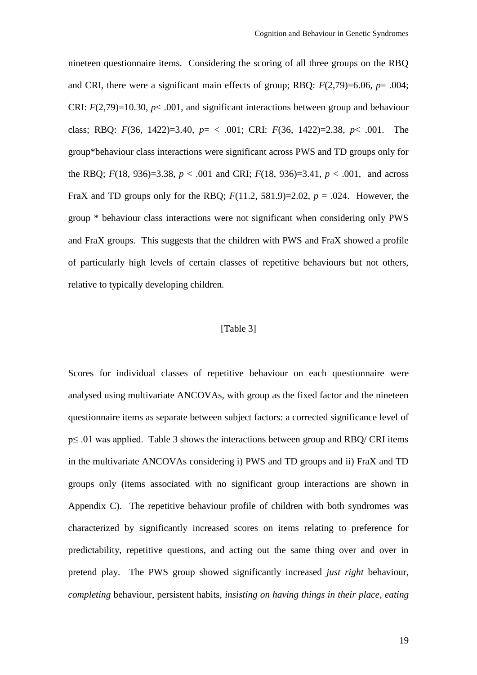nineteen questionnaire items. Considering the scoring of all three groups on the RBQ and CRI, there were a significant main effects of group; RBQ: *F*(2,79)=6.06, *p*= .004; CRI:  $F(2,79)=10.30, p<.001$ , and significant interactions between group and behaviour class; RBQ: *F*(36, 1422)=3.40, *p*= < .001; CRI: *F*(36, 1422)=2.38, *p*< .001. The group\*behaviour class interactions were significant across PWS and TD groups only for the RBQ;  $F(18, 936)=3.38$ ,  $p < .001$  and CRI;  $F(18, 936)=3.41$ ,  $p < .001$ , and across FraX and TD groups only for the RBQ;  $F(11.2, 581.9) = 2.02$ ,  $p = .024$ . However, the group \* behaviour class interactions were not significant when considering only PWS and FraX groups. This suggests that the children with PWS and FraX showed a profile of particularly high levels of certain classes of repetitive behaviours but not others, relative to typically developing children.

# [Table 3]

Scores for individual classes of repetitive behaviour on each questionnaire were analysed using multivariate ANCOVAs, with group as the fixed factor and the nineteen questionnaire items as separate between subject factors: a corrected significance level of p≤ .01 was applied. Table 3 shows the interactions between group and RBQ/ CRI items in the multivariate ANCOVAs considering i) PWS and TD groups and ii) FraX and TD groups only (items associated with no significant group interactions are shown in Appendix C). The repetitive behaviour profile of children with both syndromes was characterized by significantly increased scores on items relating to preference for predictability, repetitive questions, and acting out the same thing over and over in pretend play. The PWS group showed significantly increased *just right* behaviour, *completing* behaviour, persistent habits, *insisting on having things in their place*, *eating*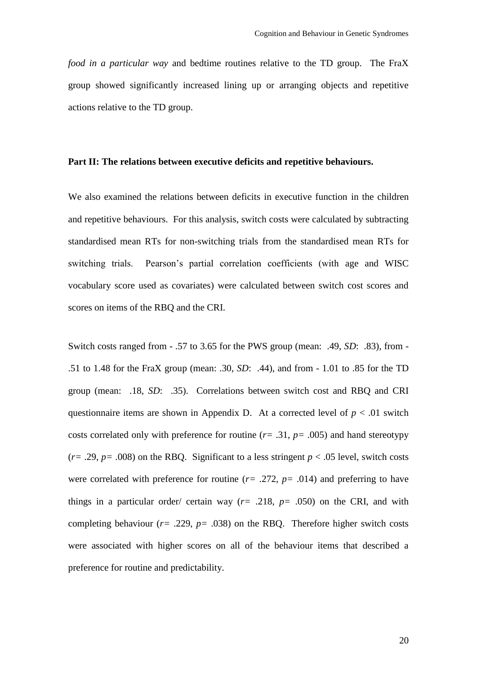*food in a particular way* and bedtime routines relative to the TD group. The FraX group showed significantly increased lining up or arranging objects and repetitive actions relative to the TD group.

#### **Part II: The relations between executive deficits and repetitive behaviours.**

We also examined the relations between deficits in executive function in the children and repetitive behaviours. For this analysis, switch costs were calculated by subtracting standardised mean RTs for non-switching trials from the standardised mean RTs for switching trials. Pearson's partial correlation coefficients (with age and WISC vocabulary score used as covariates) were calculated between switch cost scores and scores on items of the RBQ and the CRI.

Switch costs ranged from - .57 to 3.65 for the PWS group (mean: .49, *SD*: .83), from - .51 to 1.48 for the FraX group (mean: .30, *SD*: .44), and from - 1.01 to .85 for the TD group (mean: .18, *SD*: .35). Correlations between switch cost and RBQ and CRI questionnaire items are shown in Appendix D. At a corrected level of  $p < .01$  switch costs correlated only with preference for routine  $(r= .31, p= .005)$  and hand stereotypy  $(r= .29, p= .008)$  on the RBQ. Significant to a less stringent  $p < .05$  level, switch costs were correlated with preference for routine  $(r= .272, p= .014)$  and preferring to have things in a particular order/ certain way  $(r= .218, p= .050)$  on the CRI, and with completing behaviour ( $r = .229$ ,  $p = .038$ ) on the RBQ. Therefore higher switch costs were associated with higher scores on all of the behaviour items that described a preference for routine and predictability.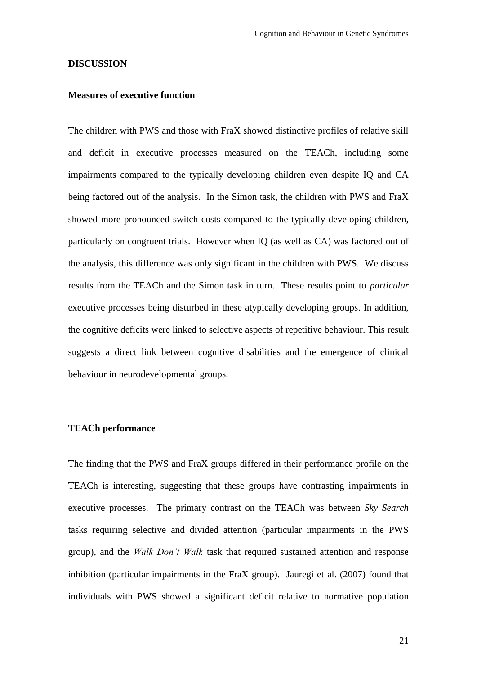#### **DISCUSSION**

#### **Measures of executive function**

The children with PWS and those with FraX showed distinctive profiles of relative skill and deficit in executive processes measured on the TEACh, including some impairments compared to the typically developing children even despite IQ and CA being factored out of the analysis. In the Simon task, the children with PWS and FraX showed more pronounced switch-costs compared to the typically developing children, particularly on congruent trials. However when IQ (as well as CA) was factored out of the analysis, this difference was only significant in the children with PWS. We discuss results from the TEACh and the Simon task in turn. These results point to *particular* executive processes being disturbed in these atypically developing groups. In addition, the cognitive deficits were linked to selective aspects of repetitive behaviour. This result suggests a direct link between cognitive disabilities and the emergence of clinical behaviour in neurodevelopmental groups.

# **TEACh performance**

The finding that the PWS and FraX groups differed in their performance profile on the TEACh is interesting, suggesting that these groups have contrasting impairments in executive processes. The primary contrast on the TEACh was between *Sky Search*  tasks requiring selective and divided attention (particular impairments in the PWS group), and the *Walk Don't Walk* task that required sustained attention and response inhibition (particular impairments in the FraX group). Jauregi et al. (2007) found that individuals with PWS showed a significant deficit relative to normative population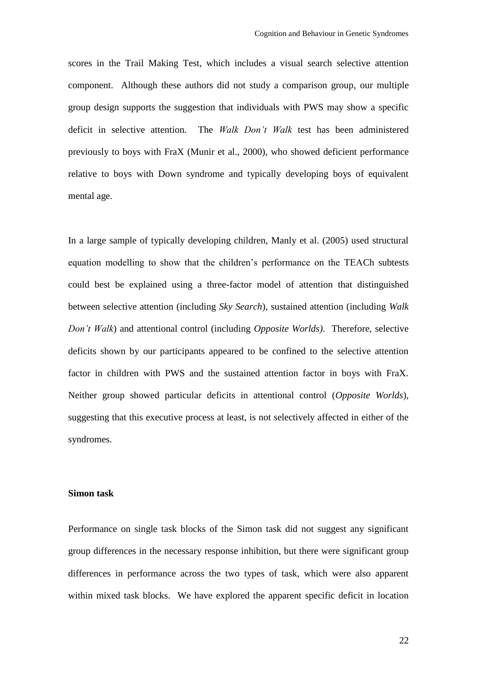scores in the Trail Making Test, which includes a visual search selective attention component. Although these authors did not study a comparison group, our multiple group design supports the suggestion that individuals with PWS may show a specific deficit in selective attention. The *Walk Don't Walk* test has been administered previously to boys with FraX (Munir et al., 2000), who showed deficient performance relative to boys with Down syndrome and typically developing boys of equivalent mental age.

In a large sample of typically developing children, Manly et al. (2005) used structural equation modelling to show that the children's performance on the TEACh subtests could best be explained using a three-factor model of attention that distinguished between selective attention (including *Sky Search*), sustained attention (including *Walk Don't Walk*) and attentional control (including *Opposite Worlds)*. Therefore, selective deficits shown by our participants appeared to be confined to the selective attention factor in children with PWS and the sustained attention factor in boys with FraX. Neither group showed particular deficits in attentional control (*Opposite Worlds*), suggesting that this executive process at least, is not selectively affected in either of the syndromes.

#### **Simon task**

Performance on single task blocks of the Simon task did not suggest any significant group differences in the necessary response inhibition, but there were significant group differences in performance across the two types of task, which were also apparent within mixed task blocks. We have explored the apparent specific deficit in location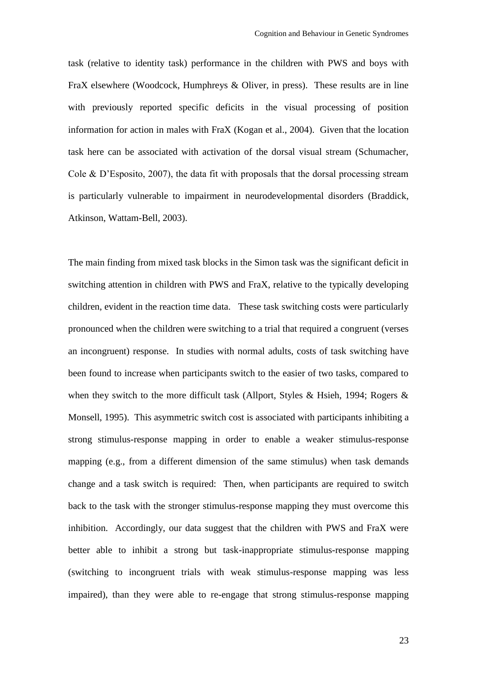task (relative to identity task) performance in the children with PWS and boys with FraX elsewhere (Woodcock, Humphreys & Oliver, in press). These results are in line with previously reported specific deficits in the visual processing of position information for action in males with FraX (Kogan et al., 2004). Given that the location task here can be associated with activation of the dorsal visual stream (Schumacher, Cole & D'Esposito, 2007), the data fit with proposals that the dorsal processing stream is particularly vulnerable to impairment in neurodevelopmental disorders (Braddick, Atkinson, Wattam-Bell, 2003).

The main finding from mixed task blocks in the Simon task was the significant deficit in switching attention in children with PWS and FraX, relative to the typically developing children, evident in the reaction time data. These task switching costs were particularly pronounced when the children were switching to a trial that required a congruent (verses an incongruent) response. In studies with normal adults, costs of task switching have been found to increase when participants switch to the easier of two tasks, compared to when they switch to the more difficult task (Allport, Styles & Hsieh, 1994; Rogers  $\&$ Monsell, 1995). This asymmetric switch cost is associated with participants inhibiting a strong stimulus-response mapping in order to enable a weaker stimulus-response mapping (e.g., from a different dimension of the same stimulus) when task demands change and a task switch is required: Then, when participants are required to switch back to the task with the stronger stimulus-response mapping they must overcome this inhibition. Accordingly, our data suggest that the children with PWS and FraX were better able to inhibit a strong but task-inappropriate stimulus-response mapping (switching to incongruent trials with weak stimulus-response mapping was less impaired), than they were able to re-engage that strong stimulus-response mapping

23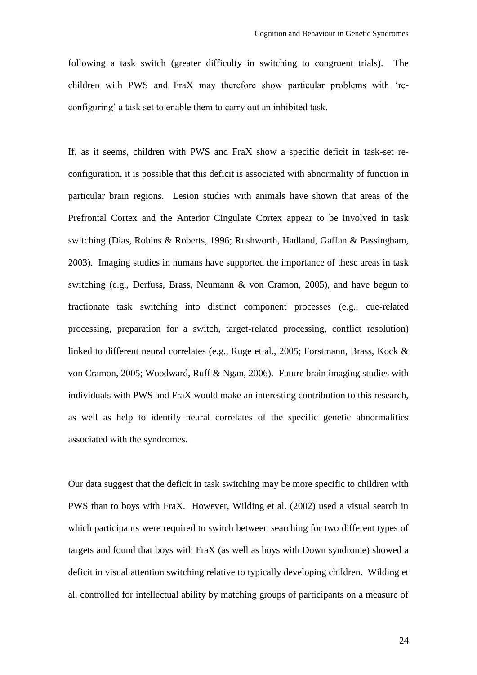following a task switch (greater difficulty in switching to congruent trials). The children with PWS and FraX may therefore show particular problems with 'reconfiguring' a task set to enable them to carry out an inhibited task.

If, as it seems, children with PWS and FraX show a specific deficit in task-set reconfiguration, it is possible that this deficit is associated with abnormality of function in particular brain regions. Lesion studies with animals have shown that areas of the Prefrontal Cortex and the Anterior Cingulate Cortex appear to be involved in task switching (Dias, Robins & Roberts, 1996; Rushworth, Hadland, Gaffan & Passingham, 2003). Imaging studies in humans have supported the importance of these areas in task switching (e.g., Derfuss, Brass, Neumann & von Cramon, 2005), and have begun to fractionate task switching into distinct component processes (e.g., cue-related processing, preparation for a switch, target-related processing, conflict resolution) linked to different neural correlates (e.g., Ruge et al., 2005; Forstmann, Brass, Kock & von Cramon, 2005; Woodward, Ruff & Ngan, 2006). Future brain imaging studies with individuals with PWS and FraX would make an interesting contribution to this research, as well as help to identify neural correlates of the specific genetic abnormalities associated with the syndromes.

Our data suggest that the deficit in task switching may be more specific to children with PWS than to boys with FraX. However, Wilding et al. (2002) used a visual search in which participants were required to switch between searching for two different types of targets and found that boys with FraX (as well as boys with Down syndrome) showed a deficit in visual attention switching relative to typically developing children. Wilding et al. controlled for intellectual ability by matching groups of participants on a measure of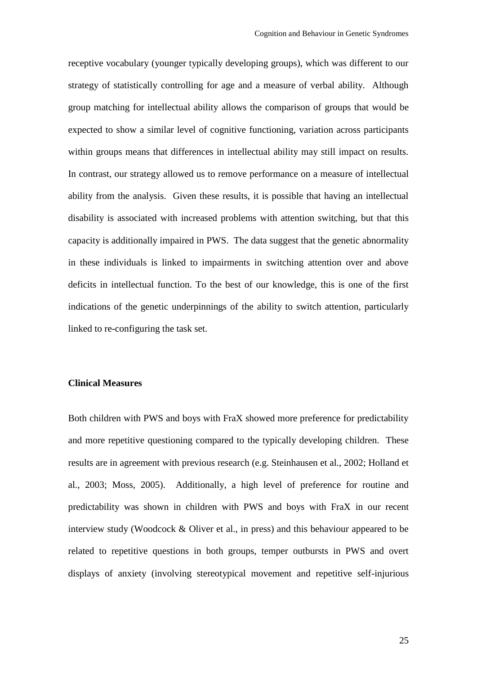receptive vocabulary (younger typically developing groups), which was different to our strategy of statistically controlling for age and a measure of verbal ability. Although group matching for intellectual ability allows the comparison of groups that would be expected to show a similar level of cognitive functioning, variation across participants within groups means that differences in intellectual ability may still impact on results. In contrast, our strategy allowed us to remove performance on a measure of intellectual ability from the analysis. Given these results, it is possible that having an intellectual disability is associated with increased problems with attention switching, but that this capacity is additionally impaired in PWS. The data suggest that the genetic abnormality in these individuals is linked to impairments in switching attention over and above deficits in intellectual function. To the best of our knowledge, this is one of the first indications of the genetic underpinnings of the ability to switch attention, particularly linked to re-configuring the task set.

#### **Clinical Measures**

Both children with PWS and boys with FraX showed more preference for predictability and more repetitive questioning compared to the typically developing children. These results are in agreement with previous research (e.g. Steinhausen et al., 2002; Holland et al., 2003; Moss, 2005). Additionally, a high level of preference for routine and predictability was shown in children with PWS and boys with FraX in our recent interview study (Woodcock & Oliver et al., in press) and this behaviour appeared to be related to repetitive questions in both groups, temper outbursts in PWS and overt displays of anxiety (involving stereotypical movement and repetitive self-injurious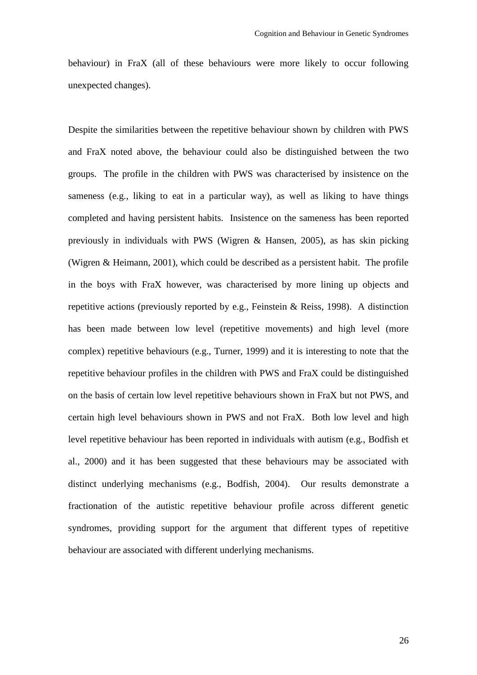behaviour) in FraX (all of these behaviours were more likely to occur following unexpected changes).

Despite the similarities between the repetitive behaviour shown by children with PWS and FraX noted above, the behaviour could also be distinguished between the two groups. The profile in the children with PWS was characterised by insistence on the sameness (e.g., liking to eat in a particular way), as well as liking to have things completed and having persistent habits. Insistence on the sameness has been reported previously in individuals with PWS (Wigren & Hansen, 2005), as has skin picking (Wigren & Heimann, 2001), which could be described as a persistent habit. The profile in the boys with FraX however, was characterised by more lining up objects and repetitive actions (previously reported by e.g., Feinstein & Reiss, 1998). A distinction has been made between low level (repetitive movements) and high level (more complex) repetitive behaviours (e.g., Turner, 1999) and it is interesting to note that the repetitive behaviour profiles in the children with PWS and FraX could be distinguished on the basis of certain low level repetitive behaviours shown in FraX but not PWS, and certain high level behaviours shown in PWS and not FraX. Both low level and high level repetitive behaviour has been reported in individuals with autism (e.g., Bodfish et al., 2000) and it has been suggested that these behaviours may be associated with distinct underlying mechanisms (e.g., Bodfish, 2004). Our results demonstrate a fractionation of the autistic repetitive behaviour profile across different genetic syndromes, providing support for the argument that different types of repetitive behaviour are associated with different underlying mechanisms.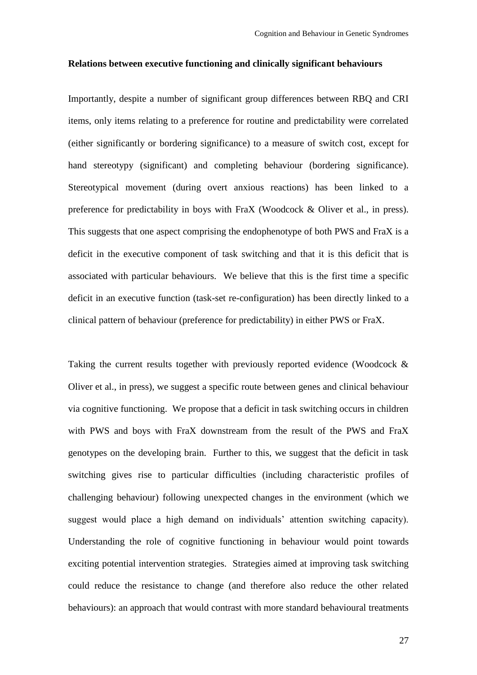#### **Relations between executive functioning and clinically significant behaviours**

Importantly, despite a number of significant group differences between RBQ and CRI items, only items relating to a preference for routine and predictability were correlated (either significantly or bordering significance) to a measure of switch cost, except for hand stereotypy (significant) and completing behaviour (bordering significance). Stereotypical movement (during overt anxious reactions) has been linked to a preference for predictability in boys with FraX (Woodcock & Oliver et al., in press). This suggests that one aspect comprising the endophenotype of both PWS and FraX is a deficit in the executive component of task switching and that it is this deficit that is associated with particular behaviours. We believe that this is the first time a specific deficit in an executive function (task-set re-configuration) has been directly linked to a clinical pattern of behaviour (preference for predictability) in either PWS or FraX.

Taking the current results together with previously reported evidence (Woodcock & Oliver et al., in press), we suggest a specific route between genes and clinical behaviour via cognitive functioning. We propose that a deficit in task switching occurs in children with PWS and boys with FraX downstream from the result of the PWS and FraX genotypes on the developing brain. Further to this, we suggest that the deficit in task switching gives rise to particular difficulties (including characteristic profiles of challenging behaviour) following unexpected changes in the environment (which we suggest would place a high demand on individuals' attention switching capacity). Understanding the role of cognitive functioning in behaviour would point towards exciting potential intervention strategies. Strategies aimed at improving task switching could reduce the resistance to change (and therefore also reduce the other related behaviours): an approach that would contrast with more standard behavioural treatments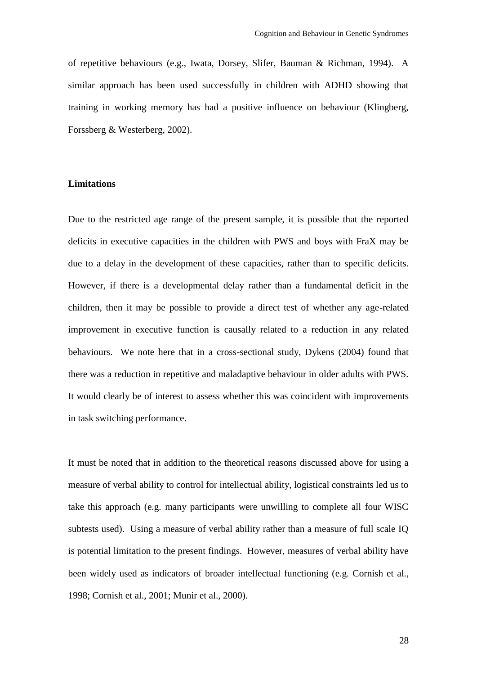of repetitive behaviours (e.g., Iwata, Dorsey, Slifer, Bauman & Richman, 1994). A similar approach has been used successfully in children with ADHD showing that training in working memory has had a positive influence on behaviour (Klingberg, Forssberg & Westerberg, 2002).

# **Limitations**

Due to the restricted age range of the present sample, it is possible that the reported deficits in executive capacities in the children with PWS and boys with FraX may be due to a delay in the development of these capacities, rather than to specific deficits. However, if there is a developmental delay rather than a fundamental deficit in the children, then it may be possible to provide a direct test of whether any age-related improvement in executive function is causally related to a reduction in any related behaviours. We note here that in a cross-sectional study, Dykens (2004) found that there was a reduction in repetitive and maladaptive behaviour in older adults with PWS. It would clearly be of interest to assess whether this was coincident with improvements in task switching performance.

It must be noted that in addition to the theoretical reasons discussed above for using a measure of verbal ability to control for intellectual ability, logistical constraints led us to take this approach (e.g. many participants were unwilling to complete all four WISC subtests used). Using a measure of verbal ability rather than a measure of full scale IQ is potential limitation to the present findings. However, measures of verbal ability have been widely used as indicators of broader intellectual functioning (e.g. Cornish et al., 1998; Cornish et al., 2001; Munir et al., 2000).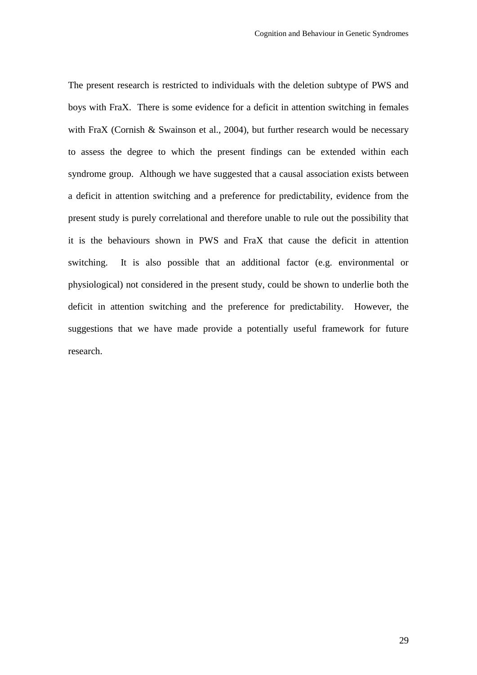The present research is restricted to individuals with the deletion subtype of PWS and boys with FraX. There is some evidence for a deficit in attention switching in females with FraX (Cornish & Swainson et al., 2004), but further research would be necessary to assess the degree to which the present findings can be extended within each syndrome group. Although we have suggested that a causal association exists between a deficit in attention switching and a preference for predictability, evidence from the present study is purely correlational and therefore unable to rule out the possibility that it is the behaviours shown in PWS and FraX that cause the deficit in attention switching. It is also possible that an additional factor (e.g. environmental or physiological) not considered in the present study, could be shown to underlie both the deficit in attention switching and the preference for predictability. However, the suggestions that we have made provide a potentially useful framework for future research.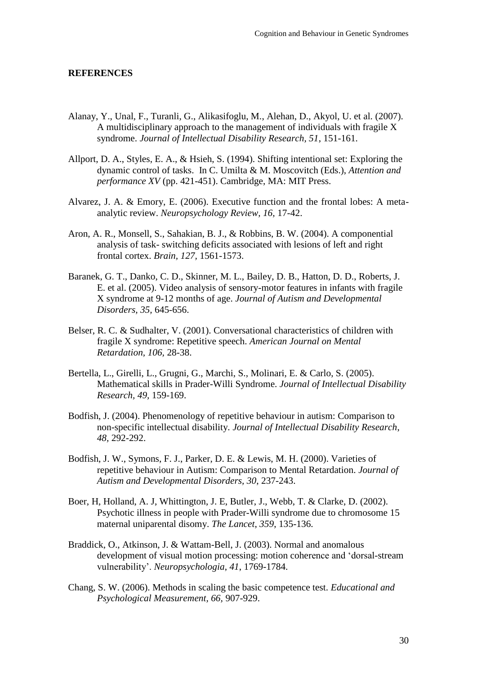#### **REFERENCES**

- Alanay, Y., Unal, F., Turanli, G., Alikasifoglu, M., Alehan, D., Akyol, U. et al. (2007). A multidisciplinary approach to the management of individuals with fragile X syndrome. *Journal of Intellectual Disability Research, 51*, 151-161.
- Allport, D. A., Styles, E. A., & Hsieh, S. (1994). Shifting intentional set: Exploring the dynamic control of tasks. In C. Umilta & M. Moscovitch (Eds.), *Attention and performance XV* (pp. 421-451). Cambridge, MA: MIT Press.
- Alvarez, J. A. & Emory, E. (2006). Executive function and the frontal lobes: A metaanalytic review. *Neuropsychology Review, 16,* 17-42.
- Aron, A. R., Monsell, S., Sahakian, B. J., & Robbins, B. W. (2004). A componential analysis of task- switching deficits associated with lesions of left and right frontal cortex. *Brain, 127,* 1561-1573.
- Baranek, G. T., Danko, C. D., Skinner, M. L., Bailey, D. B., Hatton, D. D., Roberts, J. E. et al. (2005). Video analysis of sensory-motor features in infants with fragile X syndrome at 9-12 months of age. *Journal of Autism and Developmental Disorders, 35,* 645-656.
- Belser, R. C. & Sudhalter, V. (2001). Conversational characteristics of children with fragile X syndrome: Repetitive speech. *American Journal on Mental Retardation, 106,* 28-38.
- Bertella, L., Girelli, L., Grugni, G., Marchi, S., Molinari, E. & Carlo, S. (2005). Mathematical skills in Prader-Willi Syndrome. *Journal of Intellectual Disability Research, 49,* 159-169.
- Bodfish, J. (2004). Phenomenology of repetitive behaviour in autism: Comparison to non-specific intellectual disability. *Journal of Intellectual Disability Research*, *48,* 292-292.
- Bodfish, J. W., Symons, F. J., Parker, D. E. & Lewis, M. H. (2000). Varieties of repetitive behaviour in Autism: Comparison to Mental Retardation. *Journal of Autism and Developmental Disorders, 30*, 237-243.
- Boer, H, Holland, A. J, Whittington, J. E, Butler, J., Webb, T. & Clarke, D. (2002). Psychotic illness in people with Prader-Willi syndrome due to chromosome 15 maternal uniparental disomy. *The Lancet*, *359*, 135-136.
- Braddick, O., Atkinson, J. & Wattam-Bell, J. (2003). Normal and anomalous development of visual motion processing: motion coherence and 'dorsal-stream vulnerability'. *Neuropsychologia*, *41*, 1769-1784.
- Chang, S. W. (2006). Methods in scaling the basic competence test. *Educational and Psychological Measurement, 66,* 907-929.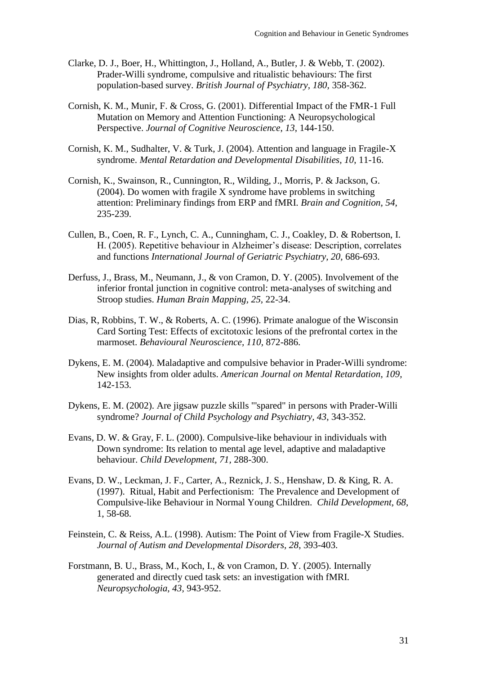- Clarke, D. J., Boer, H., Whittington, J., Holland, A., Butler, J. & Webb, T. (2002). Prader-Willi syndrome, compulsive and ritualistic behaviours: The first population-based survey. *British Journal of Psychiatry, 180,* 358-362.
- Cornish, K. M., Munir, F. & Cross, G. (2001). Differential Impact of the FMR-1 Full Mutation on Memory and Attention Functioning: A Neuropsychological Perspective. *Journal of Cognitive Neuroscience*, *13*, 144-150.
- Cornish, K. M., Sudhalter, V. & Turk, J. (2004). Attention and language in Fragile-X syndrome. *Mental Retardation and Developmental Disabilities, 10*, 11-16.
- Cornish, K., Swainson, R., Cunnington, R., Wilding, J., Morris, P. & Jackson, G. (2004). Do women with fragile X syndrome have problems in switching attention: Preliminary findings from ERP and fMRI. *Brain and Cognition, 54,* 235-239.
- Cullen, B., Coen, R. F., Lynch, C. A., Cunningham, C. J., Coakley, D. & Robertson, I. H. (2005). Repetitive behaviour in Alzheimer's disease: Description, correlates and functions *International Journal of Geriatric Psychiatry, 20,* 686-693.
- Derfuss, J., Brass, M., Neumann, J., & von Cramon, D. Y. (2005). Involvement of the inferior frontal junction in cognitive control: meta-analyses of switching and Stroop studies. *Human Brain Mapping, 25,* 22-34.
- Dias, R, Robbins, T. W., & Roberts, A. C. (1996). Primate analogue of the Wisconsin Card Sorting Test: Effects of excitotoxic lesions of the prefrontal cortex in the marmoset. *Behavioural Neuroscience, 110,* 872-886.
- Dykens, E. M. (2004). Maladaptive and compulsive behavior in Prader-Willi syndrome: New insights from older adults. *American Journal on Mental Retardation, 109,* 142-153.
- Dykens, E. M. (2002). Are jigsaw puzzle skills "'spared" in persons with Prader-Willi syndrome? *Journal of Child Psychology and Psychiatry, 43,* 343-352.
- Evans, D. W. & Gray, F. L. (2000). Compulsive-like behaviour in individuals with Down syndrome: Its relation to mental age level, adaptive and maladaptive behaviour. *Child Development, 71,* 288-300.
- Evans, D. W., Leckman, J. F., Carter, A., Reznick, J. S., Henshaw, D. & King, R. A. (1997). Ritual, Habit and Perfectionism: The Prevalence and Development of Compulsive-like Behaviour in Normal Young Children. *Child Development, 68*, 1, 58-68.
- Feinstein, C. & Reiss, A.L. (1998). Autism: The Point of View from Fragile-X Studies. *Journal of Autism and Developmental Disorders, 28*, 393-403.
- Forstmann, B. U., Brass, M., Koch, I., & von Cramon, D. Y. (2005). Internally generated and directly cued task sets: an investigation with fMRI. *Neuropsychologia, 43,* 943-952.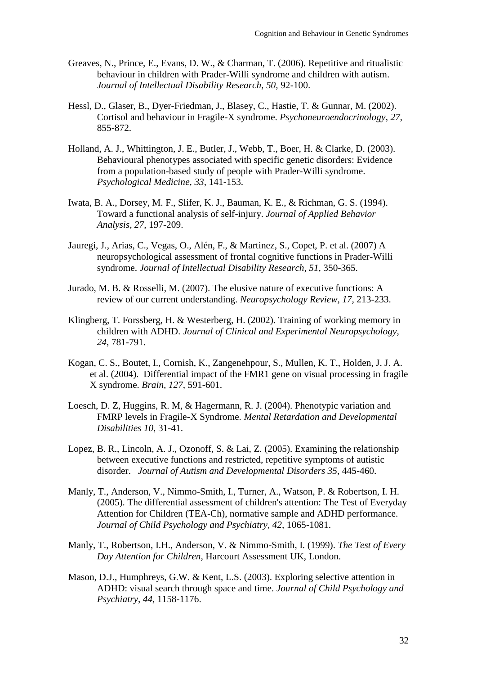- Greaves, N., Prince, E., Evans, D. W., & Charman, T. (2006). Repetitive and ritualistic behaviour in children with Prader-Willi syndrome and children with autism. *Journal of Intellectual Disability Research, 50,* 92-100.
- Hessl, D., Glaser, B., Dyer-Friedman, J., Blasey, C., Hastie, T. & Gunnar, M. (2002). Cortisol and behaviour in Fragile-X syndrome. *Psychoneuroendocrinology*, *27*, 855-872.
- Holland, A. J., Whittington, J. E., Butler, J., Webb, T., Boer, H. & Clarke, D. (2003). Behavioural phenotypes associated with specific genetic disorders: Evidence from a population-based study of people with Prader-Willi syndrome. *Psychological Medicine, 33,* 141-153.
- Iwata, B. A., Dorsey, M. F., Slifer, K. J., Bauman, K. E., & Richman, G. S. (1994). Toward a functional analysis of self-injury. *Journal of Applied Behavior Analysis, 27,* 197-209.
- Jauregi, J., Arias, C., Vegas, O., Alén, F., & Martinez, S., Copet, P. et al. (2007) A neuropsychological assessment of frontal cognitive functions in Prader-Willi syndrome. *Journal of Intellectual Disability Research, 51,* 350-365.
- Jurado, M. B. & Rosselli, M. (2007). The elusive nature of executive functions: A review of our current understanding. *Neuropsychology Review, 17,* 213-233.
- Klingberg, T. Forssberg, H. & Westerberg, H. (2002). Training of working memory in children with ADHD. *Journal of Clinical and Experimental Neuropsychology, 24*, 781-791.
- Kogan, C. S., Boutet, I., Cornish, K., Zangenehpour, S., Mullen, K. T., Holden, J. J. A. et al. (2004). Differential impact of the FMR1 gene on visual processing in fragile X syndrome. *Brain, 127,* 591-601.
- Loesch, D. Z, Huggins, R. M, & Hagermann, R. J. (2004). Phenotypic variation and FMRP levels in Fragile-X Syndrome. *Mental Retardation and Developmental Disabilities 10*, 31-41.
- Lopez, B. R., Lincoln, A. J., Ozonoff, S. & Lai, Z. (2005). Examining the relationship between executive functions and restricted, repetitive symptoms of autistic disorder. *Journal of Autism and Developmental Disorders 35,* 445-460.
- Manly, T., Anderson, V., Nimmo-Smith, I., Turner, A., Watson, P. & Robertson, I. H. (2005). The differential assessment of children's attention: The Test of Everyday Attention for Children (TEA-Ch), normative sample and ADHD performance. *Journal of Child Psychology and Psychiatry, 42,* 1065-1081.
- Manly, T., Robertson, I.H., Anderson, V. & Nimmo-Smith, I. (1999). *The Test of Every Day Attention for Children,* Harcourt Assessment UK, London.
- Mason, D.J., Humphreys, G.W. & Kent, L.S. (2003). Exploring selective attention in ADHD: visual search through space and time. *Journal of Child Psychology and Psychiatry*, *44*, 1158-1176.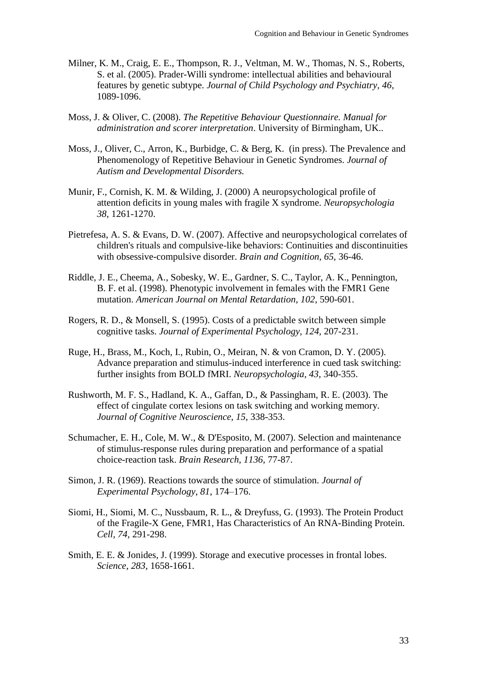- Milner, K. M., Craig, E. E., Thompson, R. J., Veltman, M. W., Thomas, N. S., Roberts, S. et al. (2005). Prader-Willi syndrome: intellectual abilities and behavioural features by genetic subtype. *Journal of Child Psychology and Psychiatry, 46,* 1089-1096.
- Moss, J. & Oliver, C. (2008). *The Repetitive Behaviour Questionnaire. Manual for administration and scorer interpretation*. University of Birmingham, UK..
- Moss, J., Oliver, C., Arron, K., Burbidge, C. & Berg, K. (in press). The Prevalence and Phenomenology of Repetitive Behaviour in Genetic Syndromes. *Journal of Autism and Developmental Disorders.*
- Munir, F., Cornish, K. M. & Wilding, J. (2000) A neuropsychological profile of attention deficits in young males with fragile X syndrome. *Neuropsychologia 38*, 1261-1270.
- Pietrefesa, A. S. & Evans, D. W. (2007). Affective and neuropsychological correlates of children's rituals and compulsive-like behaviors: Continuities and discontinuities with obsessive-compulsive disorder. *Brain and Cognition, 65,* 36-46.
- Riddle, J. E., Cheema, A., Sobesky, W. E., Gardner, S. C., Taylor, A. K., Pennington, B. F. et al. (1998). Phenotypic involvement in females with the FMR1 Gene mutation. *American Journal on Mental Retardation*, *102,* 590-601.
- Rogers, R. D., & Monsell, S. (1995). Costs of a predictable switch between simple cognitive tasks. *Journal of Experimental Psychology, 124,* 207-231.
- Ruge, H., Brass, M., Koch, I., Rubin, O., Meiran, N. & von Cramon, D. Y. (2005). Advance preparation and stimulus-induced interference in cued task switching: further insights from BOLD fMRI. *Neuropsychologia, 43,* 340-355.
- Rushworth, M. F. S., Hadland, K. A., Gaffan, D., & Passingham, R. E. (2003). The effect of cingulate cortex lesions on task switching and working memory. *Journal of Cognitive Neuroscience, 15,* 338-353.
- Schumacher, E. H., Cole, M. W., & D'Esposito, M. (2007). Selection and maintenance of stimulus-response rules during preparation and performance of a spatial choice-reaction task. *Brain Research, 1136,* 77-87.
- Simon, J. R. (1969). Reactions towards the source of stimulation. *Journal of Experimental Psychology*, *81*, 174–176.
- Siomi, H., Siomi, M. C., Nussbaum, R. L., & Dreyfuss, G. (1993). The Protein Product of the Fragile-X Gene, FMR1, Has Characteristics of An RNA-Binding Protein. *Cell, 74,* 291-298.
- Smith, E. E. & Jonides, J. (1999). Storage and executive processes in frontal lobes. *Science*, *283*, 1658-1661.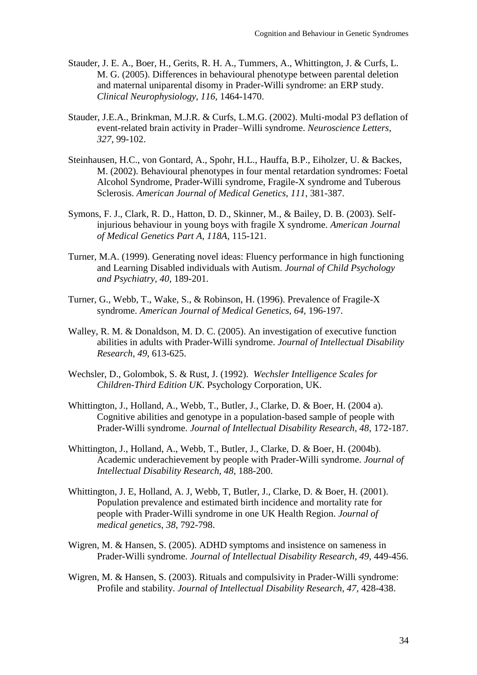- Stauder, J. E. A., Boer, H., Gerits, R. H. A., Tummers, A., Whittington, J. & Curfs, L. M. G. (2005). Differences in behavioural phenotype between parental deletion and maternal uniparental disomy in Prader-Willi syndrome: an ERP study. *Clinical Neurophysiology, 116,* 1464-1470.
- Stauder, J.E.A., Brinkman, M.J.R. & Curfs, L.M.G. (2002). Multi-modal P3 deflation of event-related brain activity in Prader–Willi syndrome. *Neuroscience Letters, 327*, 99-102.
- Steinhausen, H.C., von Gontard, A., Spohr, H.L., Hauffa, B.P., Eiholzer, U. & Backes, M. (2002). Behavioural phenotypes in four mental retardation syndromes: Foetal Alcohol Syndrome, Prader-Willi syndrome, Fragile-X syndrome and Tuberous Sclerosis. *American Journal of Medical Genetics, 111*, 381-387.
- Symons, F. J., Clark, R. D., Hatton, D. D., Skinner, M., & Bailey, D. B. (2003). Selfinjurious behaviour in young boys with fragile X syndrome. *American Journal of Medical Genetics Part A, 118A,* 115-121.
- Turner, M.A. (1999). Generating novel ideas: Fluency performance in high functioning and Learning Disabled individuals with Autism. *Journal of Child Psychology and Psychiatry, 40*, 189-201.
- Turner, G., Webb, T., Wake, S., & Robinson, H. (1996). Prevalence of Fragile-X syndrome. *American Journal of Medical Genetics, 64,* 196-197.
- Walley, R. M. & Donaldson, M. D. C. (2005). An investigation of executive function abilities in adults with Prader-Willi syndrome. *Journal of Intellectual Disability Research, 49,* 613-625.
- Wechsler, D., Golombok, S. & Rust, J. (1992). *Wechsler Intelligence Scales for Children-Third Edition UK.* Psychology Corporation, UK.
- Whittington, J., Holland, A., Webb, T., Butler, J., Clarke, D. & Boer, H. (2004 a). Cognitive abilities and genotype in a population-based sample of people with Prader-Willi syndrome. *Journal of Intellectual Disability Research, 48,* 172-187.
- Whittington, J., Holland, A., Webb, T., Butler, J., Clarke, D. & Boer, H. (2004b). Academic underachievement by people with Prader-Willi syndrome. *Journal of Intellectual Disability Research, 48,* 188-200.
- Whittington, J. E, Holland, A. J, Webb, T, Butler, J., Clarke, D. & Boer, H. (2001). Population prevalence and estimated birth incidence and mortality rate for people with Prader-Willi syndrome in one UK Health Region. *Journal of medical genetics, 38*, 792-798.
- Wigren, M. & Hansen, S. (2005). ADHD symptoms and insistence on sameness in Prader-Willi syndrome. *Journal of Intellectual Disability Research, 49,* 449-456.
- Wigren, M. & Hansen, S. (2003). Rituals and compulsivity in Prader-Willi syndrome: Profile and stability. *Journal of Intellectual Disability Research, 47,* 428-438.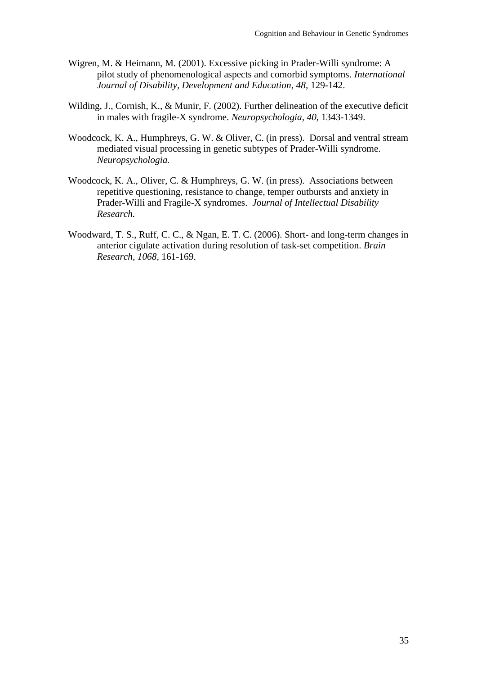- Wigren, M. & Heimann, M. (2001). Excessive picking in Prader-Willi syndrome: A pilot study of phenomenological aspects and comorbid symptoms. *International Journal of Disability, Development and Education, 48,* 129-142.
- Wilding, J., Cornish, K., & Munir, F. (2002). Further delineation of the executive deficit in males with fragile-X syndrome. *Neuropsychologia, 40,* 1343-1349.
- Woodcock, K. A., Humphreys, G. W. & Oliver, C. (in press). Dorsal and ventral stream mediated visual processing in genetic subtypes of Prader-Willi syndrome. *Neuropsychologia.*
- Woodcock, K. A., Oliver, C. & Humphreys, G. W. (in press). Associations between repetitive questioning, resistance to change, temper outbursts and anxiety in Prader-Willi and Fragile-X syndromes. *Journal of Intellectual Disability Research.*
- Woodward, T. S., Ruff, C. C., & Ngan, E. T. C. (2006). Short- and long-term changes in anterior cigulate activation during resolution of task-set competition. *Brain Research, 1068,* 161-169.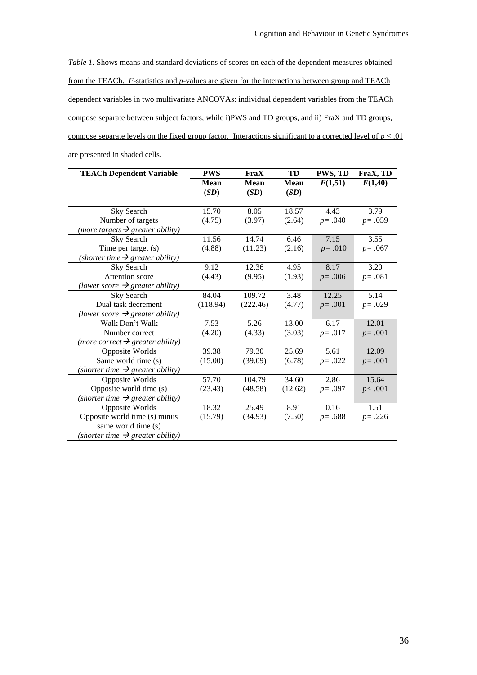*Table 1.* Shows means and standard deviations of scores on each of the dependent measures obtained from the TEACh. *F*-statistics and *p*-values are given for the interactions between group and TEACh dependent variables in two multivariate ANCOVAs: individual dependent variables from the TEACh compose separate between subject factors, while i)PWS and TD groups, and ii) FraX and TD groups, compose separate levels on the fixed group factor. Interactions significant to a corrected level of  $p \le 0.01$ are presented in shaded cells.

| <b>TEACh Dependent Variable</b>              | <b>PWS</b>  | FraX        | TD          | PWS, TD    | FraX, TD   |
|----------------------------------------------|-------------|-------------|-------------|------------|------------|
|                                              | <b>Mean</b> | <b>Mean</b> | <b>Mean</b> | F(1,51)    | F(1,40)    |
|                                              | (SD)        | (SD)        | (SD)        |            |            |
|                                              |             |             |             |            |            |
| Sky Search                                   | 15.70       | 8.05        | 18.57       | 4.43       | 3.79       |
| Number of targets                            | (4.75)      | (3.97)      | (2.64)      | $p = .040$ | $p = .059$ |
| (more targets $\rightarrow$ greater ability) |             |             |             |            |            |
| Sky Search                                   | 11.56       | 14.74       | 6.46        | 7.15       | 3.55       |
| Time per target (s)                          | (4.88)      | (11.23)     | (2.16)      | $p = .010$ | $p = .067$ |
| (shorter time $\rightarrow$ greater ability) |             |             |             |            |            |
| Sky Search                                   | 9.12        | 12.36       | 4.95        | 8.17       | 3.20       |
| Attention score                              | (4.43)      | (9.95)      | (1.93)      | $p = .006$ | $p = .081$ |
| (lower score $\rightarrow$ greater ability)  |             |             |             |            |            |
| Sky Search                                   | 84.04       | 109.72      | 3.48        | 12.25      | 5.14       |
| Dual task decrement                          | (118.94)    | (222.46)    | (4.77)      | $p = .001$ | $p = .029$ |
| (lower score $\rightarrow$ greater ability)  |             |             |             |            |            |
| Walk Don't Walk                              | 7.53        | 5.26        | 13.00       | 6.17       | 12.01      |
| Number correct                               | (4.20)      | (4.33)      | (3.03)      | $p = .017$ | $p = .001$ |
| (more correct $\rightarrow$ greater ability) |             |             |             |            |            |
| Opposite Worlds                              | 39.38       | 79.30       | 25.69       | 5.61       | 12.09      |
| Same world time (s)                          | (15.00)     | (39.09)     | (6.78)      | $p = .022$ | $p = .001$ |
| (shorter time $\rightarrow$ greater ability) |             |             |             |            |            |
| Opposite Worlds                              | 57.70       | 104.79      | 34.60       | 2.86       | 15.64      |
| Opposite world time (s)                      | (23.43)     | (48.58)     | (12.62)     | $p = .097$ | p<.001     |
| (shorter time $\rightarrow$ greater ability) |             |             |             |            |            |
| Opposite Worlds                              | 18.32       | 25.49       | 8.91        | 0.16       | 1.51       |
| Opposite world time (s) minus                | (15.79)     | (34.93)     | (7.50)      | $p = .688$ | $p = .226$ |
| same world time (s)                          |             |             |             |            |            |
| (shorter time $\rightarrow$ greater ability) |             |             |             |            |            |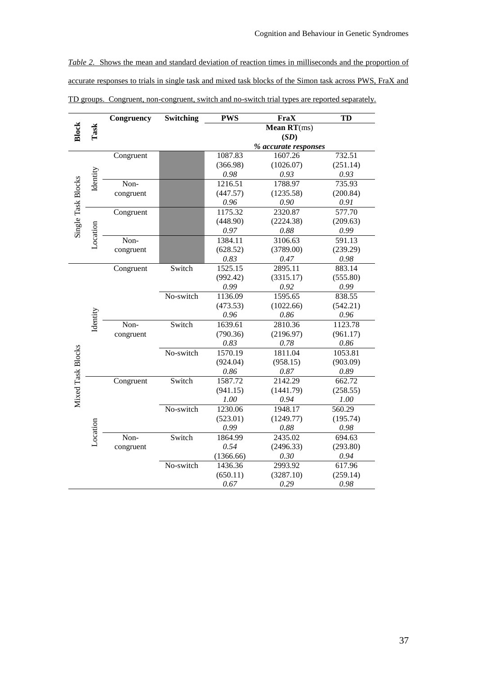*Table 2.* Shows the mean and standard deviation of reaction times in milliseconds and the proportion of accurate responses to trials in single task and mixed task blocks of the Simon task across PWS, FraX and TD groups. Congruent, non-congruent, switch and no-switch trial types are reported separately.

| <b>Block</b><br>Task<br>Mean $RT(ms)$<br>(SD)<br>% accurate responses<br>1087.83<br>732.51<br>1607.26<br>Congruent<br>(1026.07)<br>(251.14)<br>(366.98)<br>Identity<br>0.93<br>0.98<br>0.93<br>Single Task Blocks<br>1788.97<br>735.93<br>Non-<br>1216.51<br>(447.57)<br>(1235.58)<br>(200.84)<br>congruent<br>0.96<br>0.90<br>0.91<br>1175.32<br>2320.87<br>577.70<br>Congruent<br>(448.90)<br>(2224.38)<br>(209.63)<br>Location<br>0.88<br>0.97<br>0.99<br>Non-<br>1384.11<br>3106.63<br>591.13<br>congruent<br>(628.52)<br>(3789.00)<br>(239.29)<br>$0.83\,$<br>0.47<br>0.98<br>Switch<br>1525.15<br>Congruent<br>2895.11<br>883.14<br>(555.80)<br>(992.42)<br>(3315.17)<br>0.99<br>0.92<br>0.99<br>No-switch<br>1595.65<br>1136.09<br>838.55<br>(473.53)<br>(1022.66)<br>(542.21)<br>Identity<br>0.96<br>0.86<br>0.96<br>Non-<br>Switch<br>2810.36<br>1639.61<br>1123.78<br>(790.36)<br>(2196.97)<br>(961.17)<br>congruent<br>0.83<br>0.78<br>0.86<br>Mixed Task Blocks<br>No-switch<br>1570.19<br>1811.04<br>1053.81<br>(903.09)<br>(924.04)<br>(958.15)<br>0.86<br>0.87<br>0.89<br>Congruent<br>Switch<br>1587.72<br>2142.29<br>662.72<br>(941.15)<br>(1441.79)<br>(258.55)<br>1.00<br>0.94<br>1.00<br>1230.06<br>560.29<br>No-switch<br>1948.17 |  |  | Congruency | Switching | <b>PWS</b> | FraX      | TD       |  |  |
|--------------------------------------------------------------------------------------------------------------------------------------------------------------------------------------------------------------------------------------------------------------------------------------------------------------------------------------------------------------------------------------------------------------------------------------------------------------------------------------------------------------------------------------------------------------------------------------------------------------------------------------------------------------------------------------------------------------------------------------------------------------------------------------------------------------------------------------------------------------------------------------------------------------------------------------------------------------------------------------------------------------------------------------------------------------------------------------------------------------------------------------------------------------------------------------------------------------------------------------------------------|--|--|------------|-----------|------------|-----------|----------|--|--|
|                                                                                                                                                                                                                                                                                                                                                                                                                                                                                                                                                                                                                                                                                                                                                                                                                                                                                                                                                                                                                                                                                                                                                                                                                                                        |  |  |            |           |            |           |          |  |  |
|                                                                                                                                                                                                                                                                                                                                                                                                                                                                                                                                                                                                                                                                                                                                                                                                                                                                                                                                                                                                                                                                                                                                                                                                                                                        |  |  |            |           |            |           |          |  |  |
|                                                                                                                                                                                                                                                                                                                                                                                                                                                                                                                                                                                                                                                                                                                                                                                                                                                                                                                                                                                                                                                                                                                                                                                                                                                        |  |  |            |           |            |           |          |  |  |
|                                                                                                                                                                                                                                                                                                                                                                                                                                                                                                                                                                                                                                                                                                                                                                                                                                                                                                                                                                                                                                                                                                                                                                                                                                                        |  |  |            |           |            |           |          |  |  |
|                                                                                                                                                                                                                                                                                                                                                                                                                                                                                                                                                                                                                                                                                                                                                                                                                                                                                                                                                                                                                                                                                                                                                                                                                                                        |  |  |            |           |            |           |          |  |  |
|                                                                                                                                                                                                                                                                                                                                                                                                                                                                                                                                                                                                                                                                                                                                                                                                                                                                                                                                                                                                                                                                                                                                                                                                                                                        |  |  |            |           |            |           |          |  |  |
|                                                                                                                                                                                                                                                                                                                                                                                                                                                                                                                                                                                                                                                                                                                                                                                                                                                                                                                                                                                                                                                                                                                                                                                                                                                        |  |  |            |           |            |           |          |  |  |
|                                                                                                                                                                                                                                                                                                                                                                                                                                                                                                                                                                                                                                                                                                                                                                                                                                                                                                                                                                                                                                                                                                                                                                                                                                                        |  |  |            |           |            |           |          |  |  |
|                                                                                                                                                                                                                                                                                                                                                                                                                                                                                                                                                                                                                                                                                                                                                                                                                                                                                                                                                                                                                                                                                                                                                                                                                                                        |  |  |            |           |            |           |          |  |  |
|                                                                                                                                                                                                                                                                                                                                                                                                                                                                                                                                                                                                                                                                                                                                                                                                                                                                                                                                                                                                                                                                                                                                                                                                                                                        |  |  |            |           |            |           |          |  |  |
|                                                                                                                                                                                                                                                                                                                                                                                                                                                                                                                                                                                                                                                                                                                                                                                                                                                                                                                                                                                                                                                                                                                                                                                                                                                        |  |  |            |           |            |           |          |  |  |
|                                                                                                                                                                                                                                                                                                                                                                                                                                                                                                                                                                                                                                                                                                                                                                                                                                                                                                                                                                                                                                                                                                                                                                                                                                                        |  |  |            |           |            |           |          |  |  |
|                                                                                                                                                                                                                                                                                                                                                                                                                                                                                                                                                                                                                                                                                                                                                                                                                                                                                                                                                                                                                                                                                                                                                                                                                                                        |  |  |            |           |            |           |          |  |  |
|                                                                                                                                                                                                                                                                                                                                                                                                                                                                                                                                                                                                                                                                                                                                                                                                                                                                                                                                                                                                                                                                                                                                                                                                                                                        |  |  |            |           |            |           |          |  |  |
|                                                                                                                                                                                                                                                                                                                                                                                                                                                                                                                                                                                                                                                                                                                                                                                                                                                                                                                                                                                                                                                                                                                                                                                                                                                        |  |  |            |           |            |           |          |  |  |
|                                                                                                                                                                                                                                                                                                                                                                                                                                                                                                                                                                                                                                                                                                                                                                                                                                                                                                                                                                                                                                                                                                                                                                                                                                                        |  |  |            |           |            |           |          |  |  |
|                                                                                                                                                                                                                                                                                                                                                                                                                                                                                                                                                                                                                                                                                                                                                                                                                                                                                                                                                                                                                                                                                                                                                                                                                                                        |  |  |            |           |            |           |          |  |  |
|                                                                                                                                                                                                                                                                                                                                                                                                                                                                                                                                                                                                                                                                                                                                                                                                                                                                                                                                                                                                                                                                                                                                                                                                                                                        |  |  |            |           |            |           |          |  |  |
|                                                                                                                                                                                                                                                                                                                                                                                                                                                                                                                                                                                                                                                                                                                                                                                                                                                                                                                                                                                                                                                                                                                                                                                                                                                        |  |  |            |           |            |           |          |  |  |
|                                                                                                                                                                                                                                                                                                                                                                                                                                                                                                                                                                                                                                                                                                                                                                                                                                                                                                                                                                                                                                                                                                                                                                                                                                                        |  |  |            |           |            |           |          |  |  |
|                                                                                                                                                                                                                                                                                                                                                                                                                                                                                                                                                                                                                                                                                                                                                                                                                                                                                                                                                                                                                                                                                                                                                                                                                                                        |  |  |            |           |            |           |          |  |  |
|                                                                                                                                                                                                                                                                                                                                                                                                                                                                                                                                                                                                                                                                                                                                                                                                                                                                                                                                                                                                                                                                                                                                                                                                                                                        |  |  |            |           |            |           |          |  |  |
|                                                                                                                                                                                                                                                                                                                                                                                                                                                                                                                                                                                                                                                                                                                                                                                                                                                                                                                                                                                                                                                                                                                                                                                                                                                        |  |  |            |           |            |           |          |  |  |
|                                                                                                                                                                                                                                                                                                                                                                                                                                                                                                                                                                                                                                                                                                                                                                                                                                                                                                                                                                                                                                                                                                                                                                                                                                                        |  |  |            |           |            |           |          |  |  |
|                                                                                                                                                                                                                                                                                                                                                                                                                                                                                                                                                                                                                                                                                                                                                                                                                                                                                                                                                                                                                                                                                                                                                                                                                                                        |  |  |            |           |            |           |          |  |  |
|                                                                                                                                                                                                                                                                                                                                                                                                                                                                                                                                                                                                                                                                                                                                                                                                                                                                                                                                                                                                                                                                                                                                                                                                                                                        |  |  |            |           |            |           |          |  |  |
|                                                                                                                                                                                                                                                                                                                                                                                                                                                                                                                                                                                                                                                                                                                                                                                                                                                                                                                                                                                                                                                                                                                                                                                                                                                        |  |  |            |           |            |           |          |  |  |
|                                                                                                                                                                                                                                                                                                                                                                                                                                                                                                                                                                                                                                                                                                                                                                                                                                                                                                                                                                                                                                                                                                                                                                                                                                                        |  |  |            |           |            |           |          |  |  |
|                                                                                                                                                                                                                                                                                                                                                                                                                                                                                                                                                                                                                                                                                                                                                                                                                                                                                                                                                                                                                                                                                                                                                                                                                                                        |  |  |            |           |            |           |          |  |  |
|                                                                                                                                                                                                                                                                                                                                                                                                                                                                                                                                                                                                                                                                                                                                                                                                                                                                                                                                                                                                                                                                                                                                                                                                                                                        |  |  |            |           |            |           |          |  |  |
|                                                                                                                                                                                                                                                                                                                                                                                                                                                                                                                                                                                                                                                                                                                                                                                                                                                                                                                                                                                                                                                                                                                                                                                                                                                        |  |  |            |           |            |           |          |  |  |
|                                                                                                                                                                                                                                                                                                                                                                                                                                                                                                                                                                                                                                                                                                                                                                                                                                                                                                                                                                                                                                                                                                                                                                                                                                                        |  |  |            |           | (523.01)   | (1249.77) | (195.74) |  |  |
| 0.99<br>0.88<br>0.98                                                                                                                                                                                                                                                                                                                                                                                                                                                                                                                                                                                                                                                                                                                                                                                                                                                                                                                                                                                                                                                                                                                                                                                                                                   |  |  |            |           |            |           |          |  |  |
| Location<br>Non-<br>Switch<br>2435.02<br>1864.99<br>694.63                                                                                                                                                                                                                                                                                                                                                                                                                                                                                                                                                                                                                                                                                                                                                                                                                                                                                                                                                                                                                                                                                                                                                                                             |  |  |            |           |            |           |          |  |  |
| 0.54<br>(2496.33)<br>(293.80)<br>congruent                                                                                                                                                                                                                                                                                                                                                                                                                                                                                                                                                                                                                                                                                                                                                                                                                                                                                                                                                                                                                                                                                                                                                                                                             |  |  |            |           |            |           |          |  |  |
| (1366.66)<br>0.30<br>0.94                                                                                                                                                                                                                                                                                                                                                                                                                                                                                                                                                                                                                                                                                                                                                                                                                                                                                                                                                                                                                                                                                                                                                                                                                              |  |  |            |           |            |           |          |  |  |
| No-switch<br>2993.92<br>1436.36<br>617.96                                                                                                                                                                                                                                                                                                                                                                                                                                                                                                                                                                                                                                                                                                                                                                                                                                                                                                                                                                                                                                                                                                                                                                                                              |  |  |            |           |            |           |          |  |  |
| (650.11)<br>(3287.10)<br>(259.14)                                                                                                                                                                                                                                                                                                                                                                                                                                                                                                                                                                                                                                                                                                                                                                                                                                                                                                                                                                                                                                                                                                                                                                                                                      |  |  |            |           |            |           |          |  |  |
| 0.67<br>0.29<br>0.98                                                                                                                                                                                                                                                                                                                                                                                                                                                                                                                                                                                                                                                                                                                                                                                                                                                                                                                                                                                                                                                                                                                                                                                                                                   |  |  |            |           |            |           |          |  |  |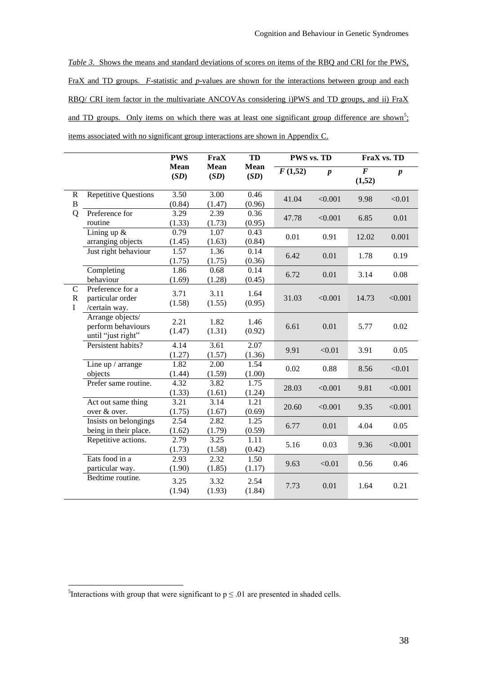*Table 3.* Shows the means and standard deviations of scores on items of the RBQ and CRI for the PWS, FraX and TD groups. *F*-statistic and *p*-values are shown for the interactions between group and each RBQ/ CRI item factor in the multivariate ANCOVAs considering i)PWS and TD groups, and ii) FraX and TD groups. Only items on which there was at least one significant group difference are shown<sup>5</sup>; items associated with no significant group interactions are shown in Appendix C.

|                                  |                                                              | <b>PWS</b>     | <b>FraX</b>                 | TD                  | PWS vs. TD |                  | FraX vs. TD                   |                  |  |
|----------------------------------|--------------------------------------------------------------|----------------|-----------------------------|---------------------|------------|------------------|-------------------------------|------------------|--|
|                                  |                                                              | Mean<br>(SD)   | <b>Mean</b><br>(SD)         | <b>Mean</b><br>(SD) | F(1,52)    | $\boldsymbol{p}$ | $\overline{\bm{F}}$<br>(1,52) | $\boldsymbol{p}$ |  |
| $\mathbf R$<br>$\overline{B}$    | <b>Repetitive Questions</b>                                  | 3.50<br>(0.84) | $\overline{3.00}$<br>(1.47) | 0.46<br>(0.96)      | 41.04      | < 0.001          | 9.98                          | < 0.01           |  |
| Q                                | Preference for<br>routine                                    | 3.29<br>(1.33) | 2.39<br>(1.73)              | 0.36<br>(0.95)      | 47.78      | < 0.001          | 6.85                          | 0.01             |  |
|                                  | Lining up $&$<br>arranging objects                           | 0.79<br>(1.45) | 1.07<br>(1.63)              | 0.43<br>(0.84)      | 0.01       | 0.91             | 12.02                         | 0.001            |  |
|                                  | Just right behaviour                                         | 1.57<br>(1.75) | 1.36<br>(1.75)              | 0.14<br>(0.36)      | 6.42       | 0.01             | 1.78                          | 0.19             |  |
|                                  | Completing<br>behaviour                                      | 1.86<br>(1.69) | 0.68<br>(1.28)              | 0.14<br>(0.45)      | 6.72       | 0.01             | 3.14                          | 0.08             |  |
| $\mathsf{C}$<br>$\mathbf R$<br>I | Preference for a<br>particular order<br>/certain way.        | 3.71<br>(1.58) | 3.11<br>(1.55)              | 1.64<br>(0.95)      | 31.03      | < 0.001          | 14.73                         | < 0.001          |  |
|                                  | Arrange objects/<br>perform behaviours<br>until "just right" | 2.21<br>(1.47) | 1.82<br>(1.31)              | 1.46<br>(0.92)      | 6.61       | 0.01             | 5.77                          | 0.02             |  |
|                                  | Persistent habits?                                           | 4.14<br>(1.27) | 3.61<br>(1.57)              | 2.07<br>(1.36)      | 9.91       | < 0.01           | 3.91                          | 0.05             |  |
|                                  | Line up / arrange<br>objects                                 | 1.82<br>(1.44) | 2.00<br>(1.59)              | 1.54<br>(1.00)      | 0.02       | 0.88             | 8.56                          | < 0.01           |  |
|                                  | Prefer same routine.                                         | 4.32<br>(1.33) | 3.82<br>(1.61)              | 1.75<br>(1.24)      | 28.03      | < 0.001          | 9.81                          | < 0.001          |  |
|                                  | Act out same thing<br>over & over.                           | 3.21<br>(1.75) | 3.14<br>(1.67)              | 1.21<br>(0.69)      | 20.60      | < 0.001          | 9.35                          | < 0.001          |  |
|                                  | Insists on belongings<br>being in their place.               | 2.54<br>(1.62) | 2.82<br>(1.79)              | 1.25<br>(0.59)      | 6.77       | 0.01             | 4.04                          | 0.05             |  |
|                                  | Repetitive actions.                                          | 2.79<br>(1.73) | 3.25<br>(1.58)              | 1.11<br>(0.42)      | 5.16       | 0.03             | 9.36                          | < 0.001          |  |
|                                  | Eats food in a<br>particular way.                            | 2.93<br>(1.90) | 2.32<br>(1.85)              | 1.50<br>(1.17)      | 9.63       | < 0.01           | 0.56                          | 0.46             |  |
|                                  | Bedtime routine.                                             | 3.25<br>(1.94) | 3.32<br>(1.93)              | 2.54<br>(1.84)      | 7.73       | 0.01             | 1.64                          | 0.21             |  |

1

<sup>&</sup>lt;sup>5</sup>Interactions with group that were significant to  $p \le 0.01$  are presented in shaded cells.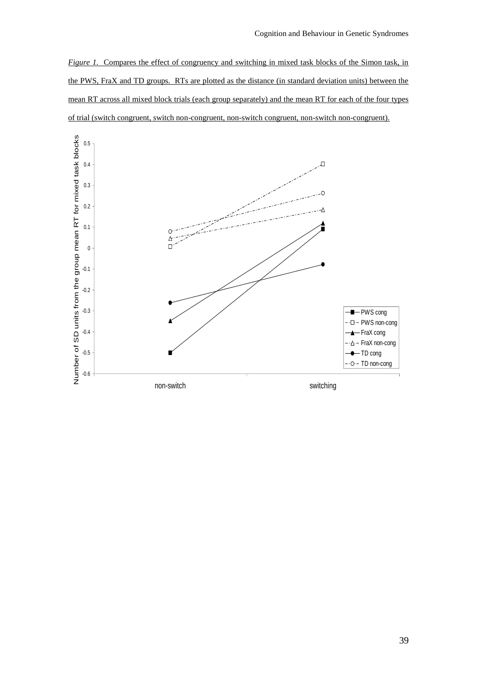*Figure 1.* Compares the effect of congruency and switching in mixed task blocks of the Simon task, in the PWS, FraX and TD groups. RTs are plotted as the distance (in standard deviation units) between the mean RT across all mixed block trials (each group separately) and the mean RT for each of the four types of trial (switch congruent, switch non-congruent, non-switch congruent, non-switch non-congruent).

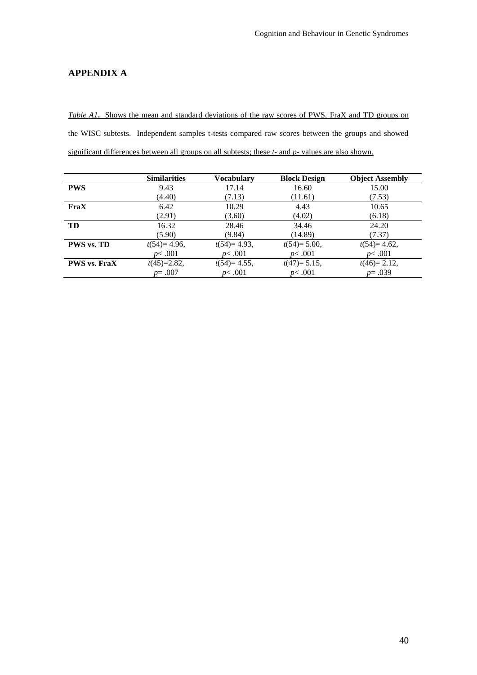# **APPENDIX A**

*Table A1***.** Shows the mean and standard deviations of the raw scores of PWS, FraX and TD groups on the WISC subtests. Independent samples t-tests compared raw scores between the groups and showed significant differences between all groups on all subtests; these *t-* and *p-* values are also shown.

|                     | <b>Similarities</b> | Vocabularv     | <b>Block Design</b> | <b>Object Assembly</b> |
|---------------------|---------------------|----------------|---------------------|------------------------|
| <b>PWS</b>          | 9.43                | 17.14          | 16.60               | 15.00                  |
|                     | (4.40)              | (7.13)         | (11.61)             | (7.53)                 |
| FraX                | 6.42                | 10.29          | 4.43                | 10.65                  |
|                     | (2.91)              | (3.60)         | (4.02)              | (6.18)                 |
| TD                  | 16.32               | 28.46          | 34.46               | 24.20                  |
|                     | (5.90)              | (9.84)         | (14.89)             | (7.37)                 |
| <b>PWS vs. TD</b>   | $t(54)=4.96$ ,      | $t(54)=4.93$ , | $t(54)=5.00$ ,      | $t(54)=4.62$ ,         |
|                     | p<.001              | p<.001         | p<.001              | p<.001                 |
| <b>PWS</b> vs. FraX | $t(45)=2.82,$       | $t(54)=4.55$ , | $t(47)=5.15$ ,      | $t(46)=2.12$ ,         |
|                     | $p = .007$          | p<.001         | p<.001              | $p = .039$             |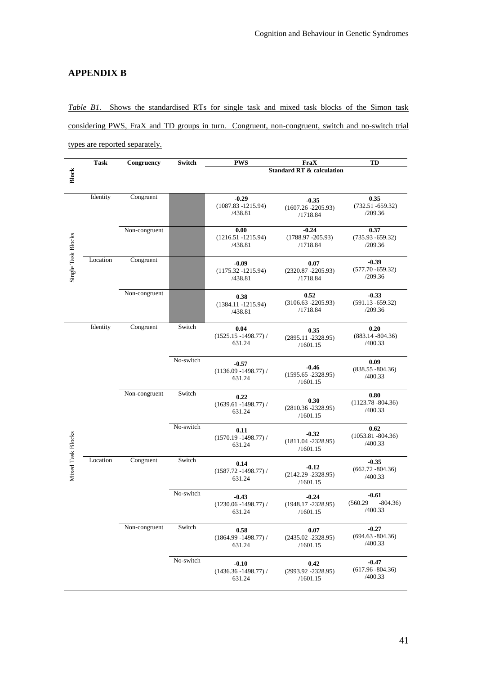# **APPENDIX B**

*Table B1.* Shows the standardised RTs for single task and mixed task blocks of the Simon task considering PWS, FraX and TD groups in turn. Congruent, non-congruent, switch and no-switch trial types are reported separately.

|                    | Task     | Congruency    | Switch    | <b>PWS</b>                                   | FraX                                         | TD                                          |
|--------------------|----------|---------------|-----------|----------------------------------------------|----------------------------------------------|---------------------------------------------|
| Block              |          |               |           |                                              | <b>Standard RT &amp; calculation</b>         |                                             |
|                    |          |               |           |                                              |                                              |                                             |
|                    | Identity | Congruent     |           | $-0.29$<br>$(1087.83 - 1215.94)$<br>/438.81  | $-0.35$<br>$(1607.26 - 2205.93)$<br>/1718.84 | 0.35<br>$(732.51 - 659.32)$<br>/209.36      |
|                    |          | Non-congruent |           | 0.00<br>$(1216.51 - 1215.94)$<br>/438.81     | $-0.24$<br>$(1788.97 - 205.93)$<br>/1718.84  | 0.37<br>$(735.93 - 659.32)$<br>/209.36      |
| Single Task Blocks | Location | Congruent     |           | $-0.09$<br>$(1175.32 - 1215.94)$<br>/438.81  | 0.07<br>$(2320.87 - 2205.93)$<br>/1718.84    | $-0.39$<br>$(577.70 - 659.32)$<br>/209.36   |
|                    |          | Non-congruent |           | 0.38<br>$(1384.11 - 1215.94)$<br>/438.81     | 0.52<br>$(3106.63 - 2205.93)$<br>/1718.84    | $-0.33$<br>$(591.13 - 659.32)$<br>/209.36   |
|                    | Identity | Congruent     | Switch    | 0.04<br>$(1525.15 - 1498.77)$ /<br>631.24    | 0.35<br>$(2895.11 - 2328.95)$<br>/1601.15    | 0.20<br>$(883.14 - 804.36)$<br>/400.33      |
|                    |          |               | No-switch | $-0.57$<br>$(1136.09 - 1498.77)$ /<br>631.24 | $-0.46$<br>$(1595.65 - 2328.95)$<br>/1601.15 | 0.09<br>$(838.55 - 804.36)$<br>/400.33      |
|                    |          | Non-congruent | Switch    | 0.22<br>$(1639.61 - 1498.77) /$<br>631.24    | 0.30<br>$(2810.36 - 2328.95)$<br>/1601.15    | 0.80<br>$(1123.78 - 804.36)$<br>/400.33     |
|                    |          |               | No-switch | 0.11<br>$(1570.19 - 1498.77)$ /<br>631.24    | $-0.32$<br>$(1811.04 - 2328.95)$<br>/1601.15 | 0.62<br>$(1053.81 - 804.36)$<br>/400.33     |
| Mixed Task Blocks  | Location | Congruent     | Switch    | 0.14<br>$(1587.72 - 1498.77) /$<br>631.24    | $-0.12$<br>$(2142.29 - 2328.95)$<br>/1601.15 | $-0.35$<br>$(662.72 - 804.36)$<br>/400.33   |
|                    |          |               | No-switch | $-0.43$<br>$(1230.06 - 1498.77)$ /<br>631.24 | $-0.24$<br>$(1948.17 - 2328.95)$<br>/1601.15 | $-0.61$<br>(560.29)<br>$-804.36$<br>/400.33 |
|                    |          | Non-congruent | Switch    | 0.58<br>$(1864.99 - 1498.77)$ /<br>631.24    | 0.07<br>$(2435.02 - 2328.95)$<br>/1601.15    | $-0.27$<br>$(694.63 - 804.36)$<br>/400.33   |
|                    |          |               | No-switch | $-0.10$<br>$(1436.36 - 1498.77)$ /<br>631.24 | 0.42<br>$(2993.92 - 2328.95)$<br>/1601.15    | $-0.47$<br>$(617.96 - 804.36)$<br>/400.33   |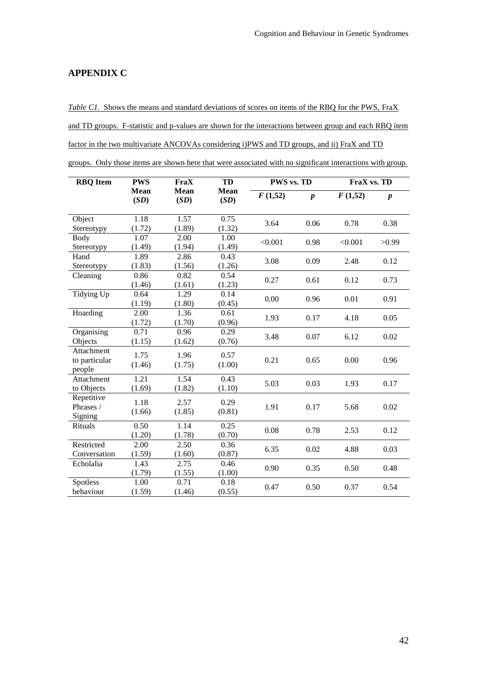# **APPENDIX C**

*Table C1*. Shows the means and standard deviations of scores on items of the RBQ for the PWS, FraX and TD groups. F-statistic and p-values are shown for the interactions between group and each RBQ item factor in the two multivariate ANCOVAs considering i)PWS and TD groups, and ii) FraX and TD groups. Only those items are shown here that were associated with no significant interactions with group.

| <b>RBQ</b> Item                              | <b>PWS</b>          | FraX                | TD                  | PWS vs. TD |                  | FraX vs. TD |                  |  |
|----------------------------------------------|---------------------|---------------------|---------------------|------------|------------------|-------------|------------------|--|
|                                              | <b>Mean</b><br>(SD) | <b>Mean</b><br>(SD) | <b>Mean</b><br>(SD) | F(1,52)    | $\boldsymbol{p}$ | F(1,52)     | $\boldsymbol{p}$ |  |
| Object<br>Stereotypy                         | 1.18<br>(1.72)      | 1.57<br>(1.89)      | 0.75<br>(1.32)      | 3.64       | 0.06             | 0.78        | 0.38             |  |
| Body<br>Stereotypy                           | 1.07<br>(1.49)      | 2.00<br>(1.94)      | 1.00<br>(1.49)      | < 0.001    | 0.98             | < 0.001     | >0.99            |  |
| Hand<br>Stereotypy                           | 1.89<br>(1.83)      | 2.86<br>(1.56)      | 0.43<br>(1.26)      | 3.08       | 0.09             | 2.48        | 0.12             |  |
| Cleaning                                     | 0.86<br>(1.46)      | 0.82<br>(1.61)      | 0.54<br>(1.23)      | 0.27       | 0.61             | 0.12        | 0.73             |  |
| Tidying Up                                   | 0.64<br>(1.19)      | 1.29<br>(1.80)      | 0.14<br>(0.45)      | 0.00       | 0.96             | 0.01        | 0.91             |  |
| Hoarding                                     | 2.00<br>(1.72)      | 1.36<br>(1.70)      | 0.61<br>(0.96)      | 1.93       | 0.17             | 4.18        | 0.05             |  |
| Organising<br>Objects                        | 0.71<br>(1.15)      | 0.96<br>(1.62)      | 0.29<br>(0.76)      | 3.48       | 0.07             | 6.12        | 0.02             |  |
| <b>Attachment</b><br>to particular<br>people | 1.75<br>(1.46)      | 1.96<br>(1.75)      | 0.57<br>(1.00)      | 0.21       | 0.65             | 0.00        | 0.96             |  |
| Attachment<br>to Objects                     | 1.21<br>(1.69)      | 1.54<br>(1.82)      | 0.43<br>(1.10)      | 5.03       | 0.03             | 1.93        | 0.17             |  |
| Repetitive<br>Phrases /<br>Signing           | 1.18<br>(1.66)      | 2.57<br>(1.85)      | 0.29<br>(0.81)      | 1.91       | 0.17             | 5.68        | 0.02             |  |
| Rituals                                      | 0.50<br>(1.20)      | 1.14<br>(1.78)      | 0.25<br>(0.70)      | 0.08       | 0.78             | 2.53        | 0.12             |  |
| Restricted<br>Conversation                   | 2.00<br>(1.59)      | 2.50<br>(1.60)      | 0.36<br>(0.87)      | 6.35       | 0.02             | 4.88        | 0.03             |  |
| Echolalia                                    | 1.43<br>(1.79)      | 2.75<br>(1.55)      | 0.46<br>(1.00)      | 0.90       | 0.35             | 0.50        | 0.48             |  |
| Spotless<br>behaviour                        | 1.00<br>(1.59)      | 0.71<br>(1.46)      | 0.18<br>(0.55)      | 0.47       | 0.50             | 0.37        | 0.54             |  |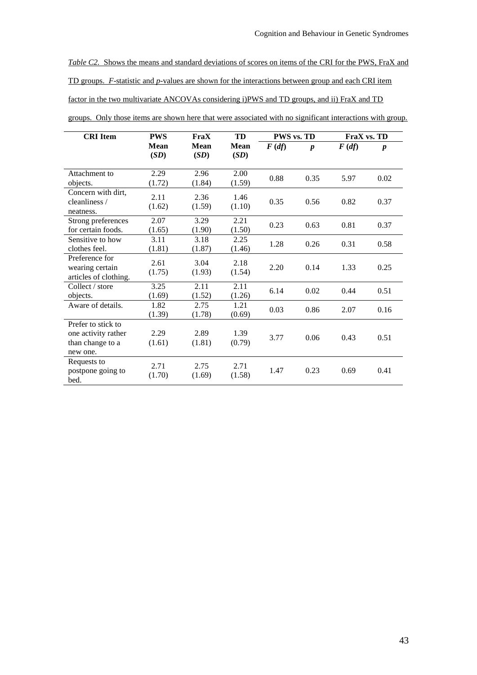*Table C2.* Shows the means and standard deviations of scores on items of the CRI for the PWS, FraX and TD groups. *F*-statistic and *p*-values are shown for the interactions between group and each CRI item factor in the two multivariate ANCOVAs considering i)PWS and TD groups, and ii) FraX and TD

| <b>CRI</b> Item                                                           | <b>PWS</b>          | FraX           | TD                  | <b>PWS vs. TD</b>  |                  | FraX vs. TD        |                  |
|---------------------------------------------------------------------------|---------------------|----------------|---------------------|--------------------|------------------|--------------------|------------------|
|                                                                           | <b>Mean</b><br>(SD) | Mean<br>(SD)   | <b>Mean</b><br>(SD) | $F(d\mathfrak{f})$ | $\boldsymbol{p}$ | $F(d\mathfrak{f})$ | $\boldsymbol{p}$ |
| Attachment to<br>objects.                                                 | 2.29<br>(1.72)      | 2.96<br>(1.84) | 2.00<br>(1.59)      | 0.88               | 0.35             | 5.97               | 0.02             |
| Concern with dirt,<br>cleanliness /<br>neatness.                          | 2.11<br>(1.62)      | 2.36<br>(1.59) | 1.46<br>(1.10)      | 0.35               | 0.56             | 0.82               | 0.37             |
| Strong preferences<br>for certain foods.                                  | 2.07<br>(1.65)      | 3.29<br>(1.90) | 2.21<br>(1.50)      | 0.23               | 0.63             | 0.81               | 0.37             |
| Sensitive to how<br>clothes feel.                                         | 3.11<br>(1.81)      | 3.18<br>(1.87) | 2.25<br>(1.46)      | 1.28               | 0.26             | 0.31               | 0.58             |
| Preference for<br>wearing certain<br>articles of clothing.                | 2.61<br>(1.75)      | 3.04<br>(1.93) | 2.18<br>(1.54)      | 2.20               | 0.14             | 1.33               | 0.25             |
| Collect / store<br>objects.                                               | 3.25<br>(1.69)      | 2.11<br>(1.52) | 2.11<br>(1.26)      | 6.14               | 0.02             | 0.44               | 0.51             |
| Aware of details.                                                         | 1.82<br>(1.39)      | 2.75<br>(1.78) | 1.21<br>(0.69)      | 0.03               | 0.86             | 2.07               | 0.16             |
| Prefer to stick to<br>one activity rather<br>than change to a<br>new one. | 2.29<br>(1.61)      | 2.89<br>(1.81) | 1.39<br>(0.79)      | 3.77               | 0.06             | 0.43               | 0.51             |
| Requests to<br>postpone going to<br>bed.                                  | 2.71<br>(1.70)      | 2.75<br>(1.69) | 2.71<br>(1.58)      | 1.47               | 0.23             | 0.69               | 0.41             |

groups. Only those items are shown here that were associated with no significant interactions with group.